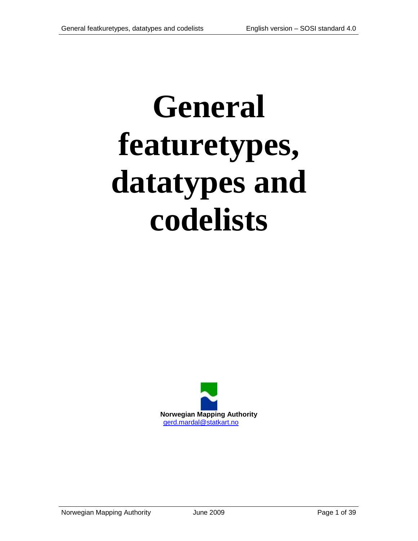# **General featuretypes, datatypes and codelists**

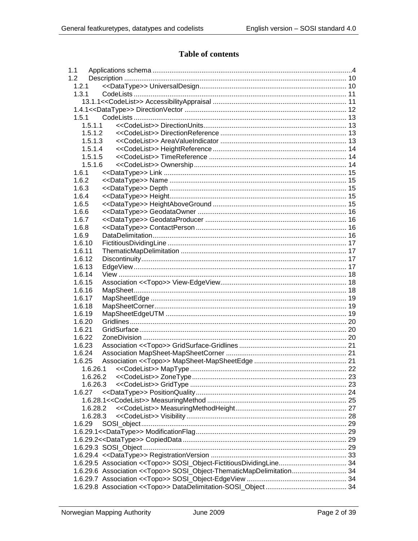#### **Table of contents**

| 1.1    |                                                                       |  |
|--------|-----------------------------------------------------------------------|--|
| 1.2    |                                                                       |  |
| 1.2.1  |                                                                       |  |
| 1.3.1  |                                                                       |  |
|        |                                                                       |  |
|        |                                                                       |  |
| 1.5.1  |                                                                       |  |
|        | 1.5.1.1                                                               |  |
|        | 1.5.1.2                                                               |  |
|        | 1.5.1.3                                                               |  |
|        | 1.5.1.4                                                               |  |
|        | 1.5.1.5                                                               |  |
|        | 1.5.1.6                                                               |  |
| 1.6.1  |                                                                       |  |
| 1.6.2  |                                                                       |  |
| 1.6.3  |                                                                       |  |
|        |                                                                       |  |
| 1.6.4  |                                                                       |  |
| 1.6.5  |                                                                       |  |
| 1.6.6  |                                                                       |  |
| 1.6.7  |                                                                       |  |
| 1.6.8  |                                                                       |  |
| 1.6.9  |                                                                       |  |
| 1.6.10 |                                                                       |  |
| 1.6.11 |                                                                       |  |
| 1.6.12 |                                                                       |  |
| 1.6.13 |                                                                       |  |
| 1.6.14 |                                                                       |  |
| 1.6.15 |                                                                       |  |
| 1.6.16 |                                                                       |  |
| 1.6.17 |                                                                       |  |
| 1.6.18 |                                                                       |  |
| 1.6.19 |                                                                       |  |
| 1.6.20 |                                                                       |  |
| 1.6.21 |                                                                       |  |
| 1.6.22 |                                                                       |  |
| 1.6.23 |                                                                       |  |
| 1.6.24 |                                                                       |  |
| 1.6.25 |                                                                       |  |
|        | 1.6.26.1                                                              |  |
|        | 1.6.26.2                                                              |  |
|        | 1.6.26.3                                                              |  |
| 1.6.27 |                                                                       |  |
|        |                                                                       |  |
|        |                                                                       |  |
|        | 1.6.28.2                                                              |  |
|        | 1.6.28.3                                                              |  |
| 1.6.29 |                                                                       |  |
|        |                                                                       |  |
|        |                                                                       |  |
|        |                                                                       |  |
|        |                                                                       |  |
|        |                                                                       |  |
|        | 1.6.29.6 Association << Topo>> SOSI_Object-ThematicMapDelimitation 34 |  |
|        |                                                                       |  |
|        |                                                                       |  |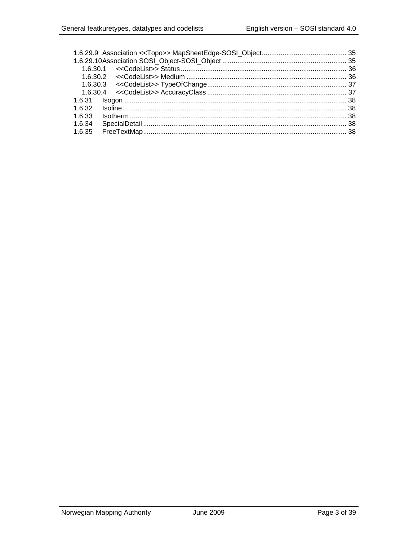| 1.6.32 |  |
|--------|--|
| 1.6.33 |  |
| 1.6.34 |  |
| 1.6.35 |  |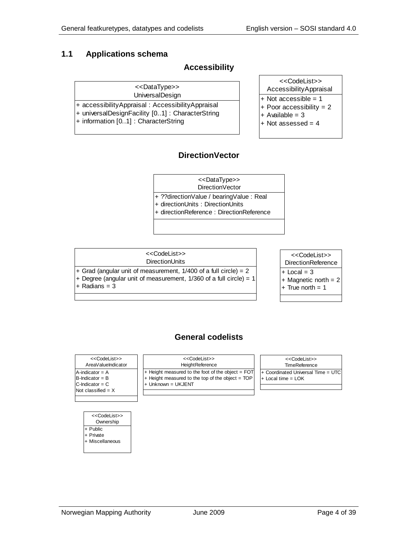#### <span id="page-3-0"></span>**1.1 Applications schema**

#### **Accessibility**

| < <datatype></datatype> |
|-------------------------|
|                         |

UniversalDesign

+ accessibilityAppraisal : AccessibilityAppraisal

+ universalDesignFacility [0..1] : CharacterString

+ information [0..1] : CharacterString

| < <datatype>&gt;</datatype>                                                                        | < <codelist>&gt;<br/>AccessibilityAppraisal</codelist>                                            |
|----------------------------------------------------------------------------------------------------|---------------------------------------------------------------------------------------------------|
| JniversalDesign<br>isal: AccessibilityAppraisal<br>cility [01]: CharacterString<br>CharacterString | $+$ Not accessible = 1<br>+ Poor accessibility = $2$<br>$+$ Available = 3<br>$+$ Not assessed = 4 |

#### **DirectionVector**

DirectionVector <<DataType>>

+ ??directionValue / bearingValue : Real

+ directionUnits : DirectionUnits

+ directionReference : DirectionReference

#### **DirectionUnits** <<CodeList>>

+ Grad (angular unit of measurement, 1/400 of a full circle) = 2

+ Degree (angular unit of measurement, 1/360 of a full circle) = 1

 $+$  Radians =  $3$ 



#### **General codelists**

| < <codelist>&gt;</codelist>                                                             | < <codelist>&gt;</codelist>                                                                                                       | < <codelist>&gt;</codelist>                                  |
|-----------------------------------------------------------------------------------------|-----------------------------------------------------------------------------------------------------------------------------------|--------------------------------------------------------------|
| AreaValueIndicator                                                                      | <b>HeightReference</b>                                                                                                            | <b>TimeReference</b>                                         |
| A-indicator = A<br>$B$ -Indicator = $B$<br>$C$ -Indicator = $C$<br>Not classified $= X$ | $ +$ Height measured to the foot of the object = FOT<br>$+$ Height measured to the top of the object = TOP<br>i+ Unknown = UKJENT | + Coordinated Universal Time = UTC  <br>$+$ Local time = LOK |

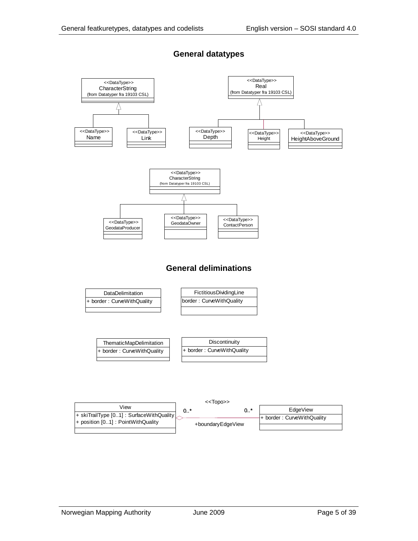

#### **General datatypes**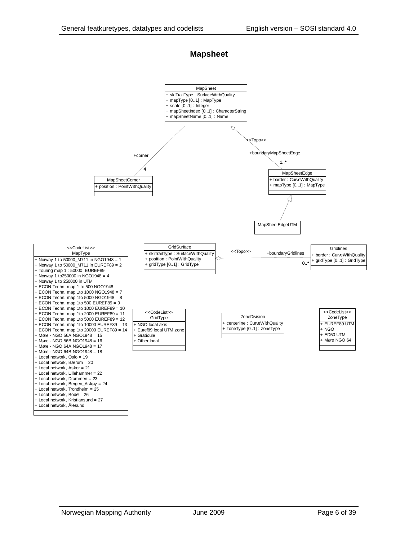#### **Mapsheet**

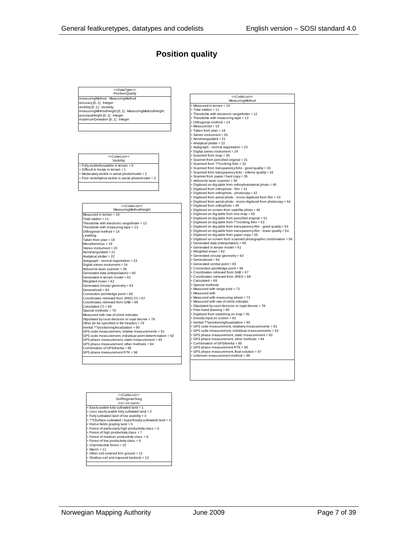#### **Position quality**

PositionQuality <<CodeList><codeList><br>asuringMethod <=CodeList><br>MeasuringMethod measuringMethod : MeasuringMethod accuracy [0..1] : Integer visibility [0..1] : Visibility measuringMethodHeight [0..1] : MeasuringMethodHeight accuracyHeight [0..1] : Integer maximumDeviation [0..1] : Integer <<DataType>>PositionQuality Visibility <<CodeList>> + Fully visible/locatable in terrain = 0 + Difficult to locate in terrain = 1 + Moderately visible in aerial photo/model = 2 + Poor visibility/not visible in aerial photo/model = 3

#### MeasuringMethodHeight <<CodeList>>

Measured in terrain = 10 Total station = 11 Theodolite with electronic rangefinder = 12 Theodolite with measuring tape = 13 Orthogonal method = 14 Levelling Taken from plan = 18 Miscellaneous = 19 Stereo instrument = 20 Aerotriangulated = 21 Analytical plotter = 22 Autograph - normal registration = 23 Digital stereo instrument = 24 Airbourne laser scanner = 36 Generated data (interpolation) = 60<br>Generated in terrain model = 61<br>Weighted mean = 62<br>Generated circular geometry = 63<br>Generatio circular geometry = 63<br>Condinates retrieved from JREG (?) = 67<br>Coordinates retrieved from JR Measured with rate of climb indicator<br>Stipulated by court decision or royal decree = 78<br>Other (to be specified in file header) = 79<br>Inertial ??positioning/localization = 90<br>GPS code measurement, individual point determinat GPS phase measurement, static measurement = 93 GPS phase measurement, other methods = 94 Combination of GPS/Inertia = 95 GPS phase measurement RTK = 96

| + Measured in terrain = 10                                                                                            |
|-----------------------------------------------------------------------------------------------------------------------|
| + Total station = 11                                                                                                  |
| + Theodolite with electronic rangefinder = 12                                                                         |
| + Theodolite with measuring tape = 13                                                                                 |
| + Orthogonal method = 14<br>+ MeasureOut = 15                                                                         |
|                                                                                                                       |
| + Taken from plan = 18<br>+ Stereo instrument = 20                                                                    |
| + Aerotriangulated = 21                                                                                               |
| + Analytical plotter = 22                                                                                             |
| + Autograph - normal registration = 23                                                                                |
| + Digital stereo instrument = 24                                                                                      |
| + Scanned from map = 30                                                                                               |
| + Scannet from pencilled original = 31                                                                                |
| + Scanned from ??scribing folio = 32                                                                                  |
| + Scanned from transparency folio - good quality = 33                                                                 |
| + Scanned from transparency folio - inferior quality = 34                                                             |
| + Scannet from paper / hard copy = 35                                                                                 |
| + Airbourne laser scanner = 36                                                                                        |
| + Digitised on dig.table from orthophoto/aerial photo = 40                                                            |
| + Digitised from orthophoto - film = 41                                                                               |
| + Digitised from orthophoto - photocopy = 42                                                                          |
| + Digitised from aerial photo - mono-digitised from film = 43                                                         |
| + Digitised from aerial photo - mono-digitised from photocopy = 44                                                    |
| + Digitised from orthophoto = 45                                                                                      |
| + Digitised on screen from satellite photo = 46                                                                       |
| + Digitised on dig.table from line-map = 50<br>+ Digitised on dig.table from pencilled original = 51                  |
| + Digitised on dig.table from ??scribing folio = 52                                                                   |
| + Digitised on dig.table from transparency film - good quality = 53                                                   |
| + Digitised on dig.table from transparency film - lower quality = 54                                                  |
| + Digitised on dig.table from paper copy = 55                                                                         |
| + Digitised on screen from scanned photographic combination = 56                                                      |
| + Generated data (interpolation) = 60                                                                                 |
| + Generated in terrain model = 61                                                                                     |
| + Weighted mean = 62                                                                                                  |
| + Generated circular geometry = 63                                                                                    |
| + Generalised = 64                                                                                                    |
| + Generated central point = 65                                                                                        |
| + Connection point/edge point = 66                                                                                    |
| + Coordinates retrieved from GAB = 67                                                                                 |
| + Coordinates retrieved from JREG = 68                                                                                |
| + Calculated = 69<br>+ Special methods                                                                                |
| + Measured with range pole = 71                                                                                       |
| + Measured with                                                                                                       |
| + Measured with measuring wheel = 73                                                                                  |
| + Measured with rate of climb indicator                                                                               |
| + Stipulated by court decision or royal decree = 78                                                                   |
| + Free-hand drawing = 80                                                                                              |
| + Digitised from sketching on map = 81                                                                                |
| + Directly input on screen = 82                                                                                       |
| + Inertial ??positioning/localization = 90                                                                            |
| + GPS code measurement, relatively measurements = 91                                                                  |
| + GPS code measurement, individual measurements = 92                                                                  |
| + GPS phase measurement, static measurement = 93                                                                      |
| + GPS phase measurement, other methods = 94                                                                           |
| + Combination of GPS/Inertia = 95                                                                                     |
|                                                                                                                       |
|                                                                                                                       |
| + GPS phase measurement RTK = 96<br>+ GPS phase measurement, float solution = 97<br>+ Unknown measurement method = 99 |

| < <codelist>&gt;<br/>SoilRegisterSreg<br/>(from Soil register)</codelist> |
|---------------------------------------------------------------------------|
| + Easily arable fully cultivated land = 1                                 |
| + Less easily arable fully cultivated land = 2                            |
| + Fully cultivated land of low arability = 3                              |
| + ??(Surface-cultivated / Superficially cultivated) land = 4              |
| + Home fields grazing land = 5                                            |
| + Forest of particularly high productivity class = 6                      |
| + Forest of high productivity class = 7                                   |
| + Forest of medium productivity class = 8                                 |
| + Forest of low productivity class = 9                                    |
| + Unproductive forest = 10                                                |
| $+$ Marsh = 11                                                            |
| + Other soil-covered firm ground = 12                                     |
| + Shallow soil and exposed bedrock = 13                                   |
|                                                                           |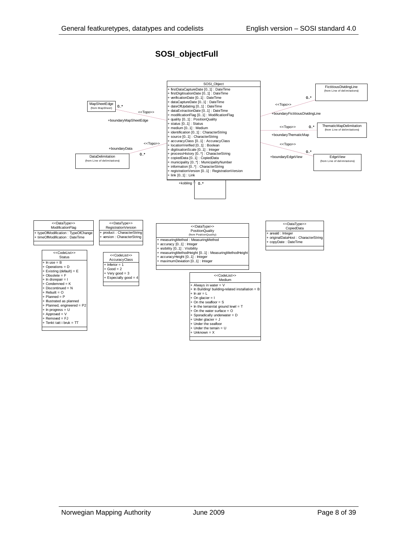#### **SOSI\_objectFull**

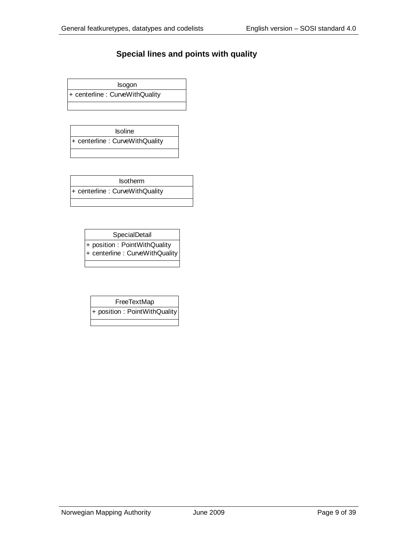#### **Special lines and points with quality**

Isogon + centerline : CurveWithQuality

Isoline + centerline : CurveWithQuality

Isotherm + centerline : CurveWithQuality

> **SpecialDetail** + position : PointWithQuality + centerline : CurveWithQuality

FreeTextMap + position : PointWithQuality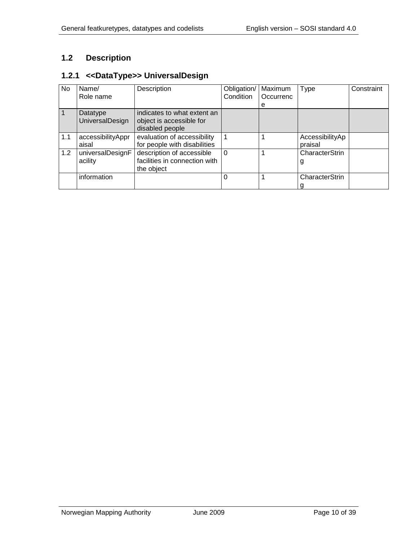## <span id="page-9-0"></span>**1.2 Description**

#### <span id="page-9-1"></span>**1.2.1 <<DataType>> UniversalDesign**

| No  | Name/<br>Role name                 | Description                                                                | Obligation/<br>Condition | Maximum<br>Occurrenc<br>е | Type                       | Constraint |
|-----|------------------------------------|----------------------------------------------------------------------------|--------------------------|---------------------------|----------------------------|------------|
|     | Datatype<br><b>UniversalDesign</b> | indicates to what extent an<br>object is accessible for<br>disabled people |                          |                           |                            |            |
| 1.1 | accessibilityAppr<br>aisal         | evaluation of accessibility<br>for people with disabilities                |                          |                           | AccessibilityAp<br>praisal |            |
| 1.2 | universalDesignF<br>acility        | description of accessible<br>facilities in connection with<br>the object   | $\Omega$                 |                           | CharacterStrin<br>g        |            |
|     | information                        |                                                                            | 0                        |                           | CharacterStrin<br>q        |            |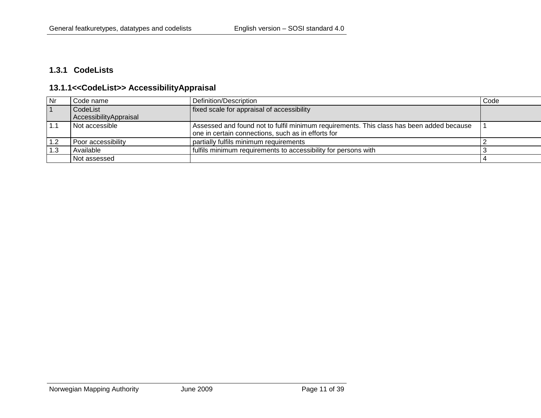#### **1.3.1 CodeLists**

#### **13.1.1<<CodeList>> AccessibilityAppraisal**

<span id="page-10-1"></span><span id="page-10-0"></span>

| Nr  | i Code name            | Definition/Description                                                                   | Code |
|-----|------------------------|------------------------------------------------------------------------------------------|------|
|     | CodeList               | fixed scale for appraisal of accessibility                                               |      |
|     | AccessibilityAppraisal |                                                                                          |      |
|     | l Not accessible       | Assessed and found not to fulfil minimum requirements. This class has been added because |      |
|     |                        | one in certain connections, such as in efforts for                                       |      |
|     | Poor accessibility     | partially fulfils minimum requirements                                                   |      |
| 1.3 | Available              | fulfils minimum requirements to accessibility for persons with                           |      |
|     | Not assessed           |                                                                                          |      |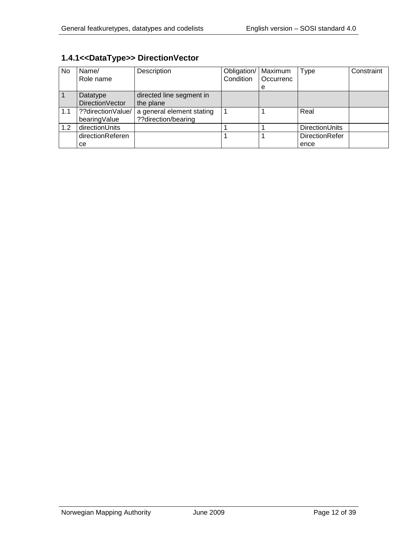| No  | Name/<br>Role name | Description               | Obligation/<br>Condition | Maximum<br>Occurrenc | <b>Type</b>           | Constraint |
|-----|--------------------|---------------------------|--------------------------|----------------------|-----------------------|------------|
|     |                    |                           |                          | е                    |                       |            |
|     | Datatype           | directed line segment in  |                          |                      |                       |            |
|     | DirectionVector    | the plane                 |                          |                      |                       |            |
| 1.1 | ??directionValue/  | a general element stating |                          |                      | Real                  |            |
|     | bearingValue       | ??direction/bearing       |                          |                      |                       |            |
| 1.2 | directionUnits     |                           |                          |                      | <b>DirectionUnits</b> |            |
|     | directionReferen   |                           |                          |                      | <b>DirectionRefer</b> |            |
|     | ce                 |                           |                          |                      | ence                  |            |

# <span id="page-11-0"></span>**1.4.1<<DataType>> DirectionVector**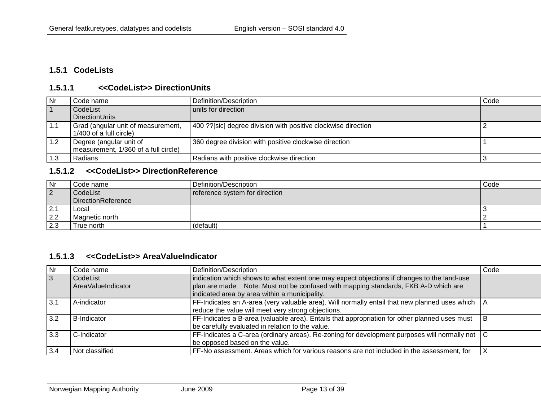#### **1.5.1 CodeLists**

#### **1.5.1.1 <<CodeList>> DirectionUnits**

| l Nr        | Code name                                                       | Definition/Description                                        | Code |
|-------------|-----------------------------------------------------------------|---------------------------------------------------------------|------|
| $\vert$ 1   | CodeList                                                        | units for direction                                           |      |
|             | DirectionUnits                                                  |                                                               |      |
| $\vert$ 1.1 | Grad (angular unit of measurement,<br>1/400 of a full circle)   | 400 ??[sic] degree division with positive clockwise direction |      |
| 1.2         | Degree (angular unit of<br>measurement, 1/360 of a full circle) | 360 degree division with positive clockwise direction         |      |
| 1.3         | Radians                                                         | Radians with positive clockwise direction                     |      |

#### **1.5.1.2 <<CodeList>> DirectionReference**

<span id="page-12-1"></span><span id="page-12-0"></span>

| Nr        | Code name          | Definition/Description         | Code |
|-----------|--------------------|--------------------------------|------|
| $\vert$ 2 | CodeList           | reference system for direction |      |
|           | DirectionReference |                                |      |
| 2.1       | Local              |                                |      |
| 2.2       | Magnetic north     |                                |      |
| 2.3       | True north         | (default)                      |      |

#### **1.5.1.3 <<CodeList>> AreaValueIndicator**

<span id="page-12-3"></span><span id="page-12-2"></span>

| Nr  | Code name          | Definition/Description                                                                              | Code |
|-----|--------------------|-----------------------------------------------------------------------------------------------------|------|
| 3   | CodeList           | indication which shows to what extent one may expect objections if changes to the land-use          |      |
|     | AreaValueIndicator | plan are made Note: Must not be confused with mapping standards, FKB A-D which are                  |      |
|     |                    | indicated area by area within a municipality.                                                       |      |
| 3.1 | A-indicator        | FF-Indicates an A-area (very valuable area). Will normally entail that new planned uses which $ A $ |      |
|     |                    | reduce the value will meet very strong objections.                                                  |      |
| 3.2 | <b>B-Indicator</b> | FF-Indicates a B-area (valuable area). Entails that appropriation for other planned uses must       | l B  |
|     |                    | be carefully evaluated in relation to the value.                                                    |      |
| 3.3 | C-Indicator        | FF-Indicates a C-area (ordinary areas). Re-zoning for development purposes will normally not $ C $  |      |
|     |                    | be opposed based on the value.                                                                      |      |
| 3.4 | Not classified     | FF-No assessment. Areas which for various reasons are not included in the assessment, for           |      |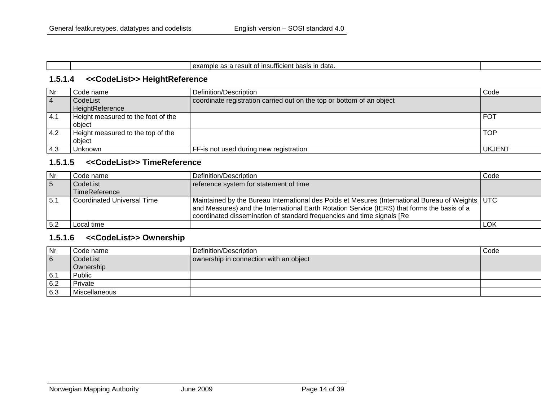| <br>.esult ∩*<br>data<br>example<br>- 110<br>ne.<br>. .<br>∴insufficien <sup>,</sup><br>- 11 -<br>ヮ<br>.<br>.<br>. . |  |
|----------------------------------------------------------------------------------------------------------------------|--|
|                                                                                                                      |  |

# **1.5.1.4 <<CodeList>> HeightReference**

| Nr             | Code name                          | Definition/Description                                                | Code       |
|----------------|------------------------------------|-----------------------------------------------------------------------|------------|
| $\overline{4}$ | CodeList                           | coordinate registration carried out on the top or bottom of an object |            |
|                | HeightReference                    |                                                                       |            |
| 4.1            | Height measured to the foot of the |                                                                       | FOT        |
|                | obiect                             |                                                                       |            |
| 4.2            | Height measured to the top of the  |                                                                       | <b>TOP</b> |
|                | obiect                             |                                                                       |            |
| 4.3            | Unknown                            | FF-is not used during new registration                                | UKJENT     |

#### **1.5.1.5 <<CodeList>> TimeReference**

<span id="page-13-0"></span>

| <b>Nr</b>       | Code name                         | Definition/Description                                                                                                                                                                                                                                                       | Code       |
|-----------------|-----------------------------------|------------------------------------------------------------------------------------------------------------------------------------------------------------------------------------------------------------------------------------------------------------------------------|------------|
| $5\overline{5}$ | CodeList                          | reference system for statement of time                                                                                                                                                                                                                                       |            |
|                 | TimeReference                     |                                                                                                                                                                                                                                                                              |            |
| 15.1            | <b>Coordinated Universal Time</b> | Maintained by the Bureau International des Poids et Mesures (International Bureau of Weights   UTC<br>and Measures) and the International Earth Rotation Service (IERS) that forms the basis of a<br>coordinated dissemination of standard frequencies and time signals [Re] |            |
| 5.2             | Local time                        |                                                                                                                                                                                                                                                                              | <b>LOK</b> |

#### **1.5.1.6 <<CodeList>> Ownership**

<span id="page-13-2"></span><span id="page-13-1"></span>

| Nr  | Code name     | Definition/Description                 | Code |
|-----|---------------|----------------------------------------|------|
| 6   | CodeList      | ownership in connection with an object |      |
|     | Ownership     |                                        |      |
| 6.1 | Public        |                                        |      |
| 6.2 | Private       |                                        |      |
| 6.3 | Miscellaneous |                                        |      |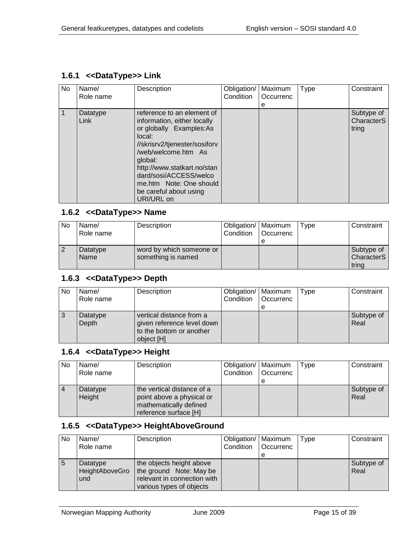#### <span id="page-14-0"></span>**1.6.1 <<DataType>> Link**

| <b>No</b> | Name/<br>Role name | Description                                                                                                                                                                                                                                                                                   | Obligation/<br>Condition | Maximum<br>Occurrenc<br>е | Type | Constraint                        |
|-----------|--------------------|-----------------------------------------------------------------------------------------------------------------------------------------------------------------------------------------------------------------------------------------------------------------------------------------------|--------------------------|---------------------------|------|-----------------------------------|
| 1         | Datatype<br>Link   | reference to an element of<br>information, either locally<br>or globally Examples:As<br>local:<br>//skrisrv2/tjenester/sosiforv<br>/web/welcome.htm As<br>global:<br>http://www.statkart.no/stan<br>dard/sosi/ACCESS/welco<br>me.htm Note: One should<br>be careful about using<br>URI/URL on |                          |                           |      | Subtype of<br>CharacterS<br>tring |

#### <span id="page-14-1"></span>**1.6.2 <<DataType>> Name**

| No             | Name/<br>Role name | Description                                    | Obligation/   Maximum<br>Condition | l Occurrenc<br>е | Type | Constraint                               |
|----------------|--------------------|------------------------------------------------|------------------------------------|------------------|------|------------------------------------------|
| $\overline{2}$ | Datatype<br>Name   | word by which someone or<br>something is named |                                    |                  |      | Subtype of<br><b>CharacterS</b><br>tring |

#### <span id="page-14-2"></span>**1.6.3 <<DataType>> Depth**

| No | Name/<br>Role name | Description                                                                                      | Obligation/   Maximum<br>Condition | l Occurrenc | Type | Constraint         |
|----|--------------------|--------------------------------------------------------------------------------------------------|------------------------------------|-------------|------|--------------------|
|    |                    |                                                                                                  |                                    | е           |      |                    |
|    | Datatype<br>Depth  | vertical distance from a<br>given reference level down<br>to the bottom or another<br>object [H] |                                    |             |      | Subtype of<br>Real |

#### <span id="page-14-3"></span>**1.6.4 <<DataType>> Height**

| No        | Name/<br>Role name | Description                                                                                                | Obligation/   Maximum<br>Condition | <b>Occurrenc</b><br>е | Type | Constraint         |
|-----------|--------------------|------------------------------------------------------------------------------------------------------------|------------------------------------|-----------------------|------|--------------------|
| $\vert$ 4 | Datatype<br>Height | the vertical distance of a<br>point above a physical or<br>mathematically defined<br>reference surface [H] |                                    |                       |      | Subtype of<br>Real |

#### <span id="page-14-4"></span>**1.6.5 <<DataType>> HeightAboveGround**

| <b>No</b>   | Name/          | Description                 | Obligation/   Maximum |                  | Type | Constraint |
|-------------|----------------|-----------------------------|-----------------------|------------------|------|------------|
|             | Role name      |                             | Condition             | <b>Occurrenc</b> |      |            |
|             |                |                             |                       |                  |      |            |
| $\mathbf b$ | Datatype       | the objects height above    |                       |                  |      | Subtype of |
|             | HeightAboveGro | the ground Note: May be     |                       |                  |      | Real       |
|             | und            | relevant in connection with |                       |                  |      |            |
|             |                | various types of objects    |                       |                  |      |            |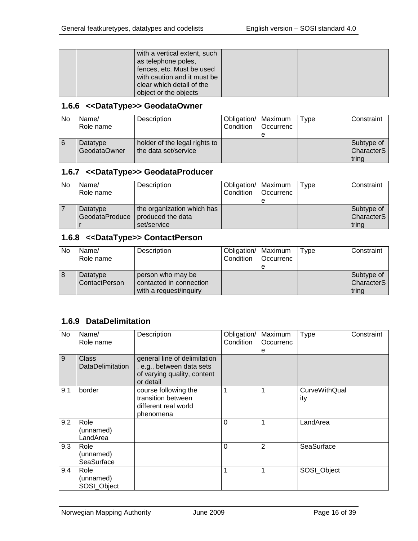|  | with a vertical extent, such<br>as telephone poles,<br>fences, etc. Must be used<br>with caution and it must be<br>clear which detail of the |  |  |
|--|----------------------------------------------------------------------------------------------------------------------------------------------|--|--|
|  |                                                                                                                                              |  |  |
|  | object or the objects                                                                                                                        |  |  |

#### <span id="page-15-0"></span>**1.6.6 <<DataType>> GeodataOwner**

| <b>No</b> | Name/<br>Role name       | Description                                           | Obligation/   Maximum<br>Condition | <b>Occurrenc</b><br>е | Type | Constraint                               |
|-----------|--------------------------|-------------------------------------------------------|------------------------------------|-----------------------|------|------------------------------------------|
|           | Datatype<br>GeodataOwner | holder of the legal rights to<br>the data set/service |                                    |                       |      | Subtype of<br><b>CharacterS</b><br>tring |

#### <span id="page-15-1"></span>**1.6.7 <<DataType>> GeodataProducer**

| No | Name/<br>Role name         | Description                                                    | Obligation/   Maximum<br>Condition | <b>Occurrenc</b> | Type | Constraint                                    |
|----|----------------------------|----------------------------------------------------------------|------------------------------------|------------------|------|-----------------------------------------------|
|    | Datatype<br>GeodataProduce | the organization which has<br>produced the data<br>set/service |                                    |                  |      | Subtype of<br>Character <sub>S</sub><br>tring |

#### <span id="page-15-2"></span>**1.6.8 <<DataType>> ContactPerson**

| No  | Name/<br>Role name        | Description                                                            | Obligation/   Maximum<br>Condition | Occurrenc<br>е | Type | Constraint                                    |
|-----|---------------------------|------------------------------------------------------------------------|------------------------------------|----------------|------|-----------------------------------------------|
| l 8 | Datatype<br>ContactPerson | person who may be<br>contacted in connection<br>with a request/inquiry |                                    |                |      | Subtype of<br>Character <sub>S</sub><br>trina |

#### <span id="page-15-3"></span>**1.6.9 DataDelimitation**

| No  | Name/<br>Role name               | Description                                                                                           | Obligation/<br>Condition | Maximum<br>Occurrenc<br>е | <b>Type</b>                 | Constraint |
|-----|----------------------------------|-------------------------------------------------------------------------------------------------------|--------------------------|---------------------------|-----------------------------|------------|
| 9   | Class<br><b>DataDelimitation</b> | general line of delimitation<br>, e.g., between data sets<br>of varying quality, content<br>or detail |                          |                           |                             |            |
| 9.1 | border                           | course following the<br>transition between<br>different real world<br>phenomena                       | $\mathbf{1}$             | 1                         | <b>CurveWithQual</b><br>ity |            |
| 9.2 | Role<br>(unnamed)<br>LandArea    |                                                                                                       | $\Omega$                 | 1                         | LandArea                    |            |
| 9.3 | Role<br>(unnamed)<br>SeaSurface  |                                                                                                       | $\Omega$                 | $\overline{2}$            | SeaSurface                  |            |
| 9.4 | Role<br>(unnamed)<br>SOSI Object |                                                                                                       | 1                        | 1                         | SOSI_Object                 |            |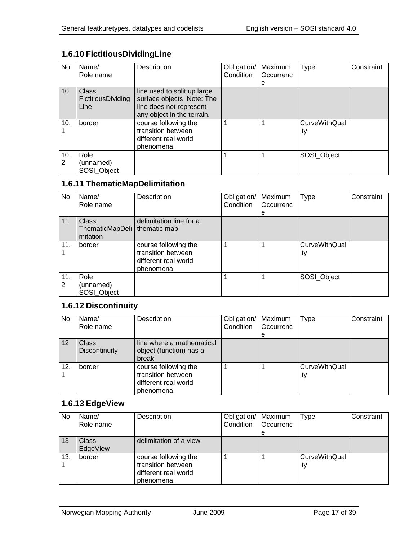## <span id="page-16-0"></span>**1.6.10 FictitiousDividingLine**

| No              | Name/<br>Role name                         | Description                                                                                                       | Obligation/<br><b>Condition</b> | Maximum<br>Occurrenc<br>е | <b>Type</b>                 | Constraint |
|-----------------|--------------------------------------------|-------------------------------------------------------------------------------------------------------------------|---------------------------------|---------------------------|-----------------------------|------------|
| 10 <sup>1</sup> | Class<br><b>FictitiousDividing</b><br>Line | line used to split up large<br>surface objects Note: The<br>line does not represent<br>any object in the terrain. |                                 |                           |                             |            |
| 10.             | border                                     | course following the<br>transition between<br>different real world<br>phenomena                                   |                                 |                           | <b>CurveWithQual</b><br>ity |            |
| 10.<br>2        | Role<br>(unnamed)<br>SOSI_Object           |                                                                                                                   |                                 |                           | SOSI_Object                 |            |

#### <span id="page-16-1"></span>**1.6.11 ThematicMapDelimitation**

| No       | Name/<br>Role name                          | Description                                                                     | Obligation/<br>Condition | Maximum<br>Occurrenc | <b>Type</b>                 | Constraint |
|----------|---------------------------------------------|---------------------------------------------------------------------------------|--------------------------|----------------------|-----------------------------|------------|
|          |                                             |                                                                                 |                          | е                    |                             |            |
| 11       | <b>Class</b><br>ThematicMapDeli<br>mitation | delimitation line for a<br>thematic map                                         |                          |                      |                             |            |
| 11.      | border                                      | course following the<br>transition between<br>different real world<br>phenomena |                          |                      | <b>CurveWithQual</b><br>ity |            |
| 11.<br>2 | Role<br>(unnamed)<br>SOSI_Object            |                                                                                 |                          |                      | SOSI_Object                 |            |

#### <span id="page-16-2"></span>**1.6.12 Discontinuity**

| No  | Name/<br>Role name                   | Description                                                                     | Obligation/<br>Condition | Maximum<br>Occurrenc | Type                        | Constraint |
|-----|--------------------------------------|---------------------------------------------------------------------------------|--------------------------|----------------------|-----------------------------|------------|
|     |                                      |                                                                                 |                          | е                    |                             |            |
| 12  | <b>Class</b><br><b>Discontinuity</b> | line where a mathematical<br>object (function) has a<br>break                   |                          |                      |                             |            |
| 12. | border                               | course following the<br>transition between<br>different real world<br>phenomena |                          |                      | <b>CurveWithQual</b><br>ity |            |

#### <span id="page-16-3"></span>**1.6.13 EdgeView**

| <b>No</b> | Name/<br>Role name       | Description                                                                     | Obligation/<br>Condition | Maximum<br>Occurrenc<br>е | <b>Type</b>                 | Constraint |
|-----------|--------------------------|---------------------------------------------------------------------------------|--------------------------|---------------------------|-----------------------------|------------|
| 13        | <b>Class</b><br>EdgeView | delimitation of a view                                                          |                          |                           |                             |            |
| 13.       | border                   | course following the<br>transition between<br>different real world<br>phenomena |                          |                           | <b>CurveWithQual</b><br>ity |            |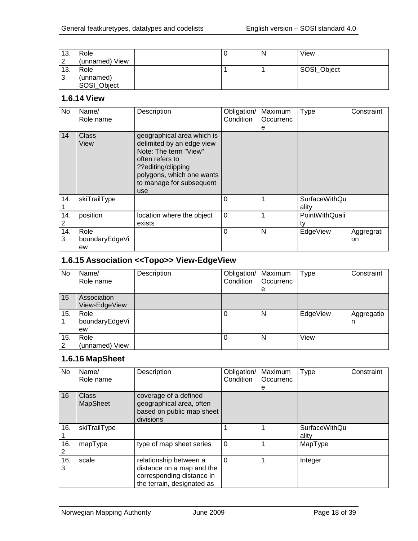| 13.<br>ົ | Role<br>(unnamed) View           |  | N | View        |  |
|----------|----------------------------------|--|---|-------------|--|
| 13.<br>3 | Role<br>(unnamed)<br>SOSI_Object |  |   | SOSI_Object |  |

#### <span id="page-17-0"></span>**1.6.14 View**

| No       | Name/<br>Role name           | Description                                                                                                                                                                               | Obligation/<br>Condition | Maximum<br>Occurrenc<br>е | Type                          | Constraint       |
|----------|------------------------------|-------------------------------------------------------------------------------------------------------------------------------------------------------------------------------------------|--------------------------|---------------------------|-------------------------------|------------------|
| 14       | <b>Class</b><br>View         | geographical area which is<br>delimited by an edge view<br>Note: The term "View"<br>often refers to<br>??editing/clipping<br>polygons, which one wants<br>to manage for subsequent<br>use |                          |                           |                               |                  |
| 14.      | skiTrailType                 |                                                                                                                                                                                           | 0                        |                           | <b>SurfaceWithQu</b><br>ality |                  |
| 14.      | position                     | location where the object<br>exists                                                                                                                                                       | 0                        |                           | PointWithQuali<br>ty          |                  |
| 14.<br>3 | Role<br>boundaryEdgeVi<br>ew |                                                                                                                                                                                           | $\Omega$                 | N                         | EdgeView                      | Aggregrati<br>on |

#### <span id="page-17-1"></span>**1.6.15 Association <<Topo>> View-EdgeView**

| No       | Name/<br>Role name           | Description | Obligation/<br>Condition | Maximum<br>Occurrenc<br>e | Type     | Constraint      |
|----------|------------------------------|-------------|--------------------------|---------------------------|----------|-----------------|
| 15       | Association<br>View-EdgeView |             |                          |                           |          |                 |
| 15.      | Role<br>boundaryEdgeVi<br>ew |             | O                        | N                         | EdgeView | Aggregatio<br>n |
| 15.<br>2 | Role<br>(unnamed) View       |             | O                        | N                         | View     |                 |

# <span id="page-17-2"></span>**1.6.16 MapSheet**

| No       | Name/<br>Role name       | Description                                                                                                    | Obligation/<br>Condition | Maximum<br>Occurrenc<br>е | <b>Type</b>                   | Constraint |
|----------|--------------------------|----------------------------------------------------------------------------------------------------------------|--------------------------|---------------------------|-------------------------------|------------|
| 16       | Class<br><b>MapSheet</b> | coverage of a defined<br>geographical area, often<br>based on public map sheet<br>divisions                    |                          |                           |                               |            |
| 16.      | skiTrailType             |                                                                                                                |                          |                           | <b>SurfaceWithQu</b><br>ality |            |
| 16.<br>2 | mapType                  | type of map sheet series                                                                                       | $\Omega$                 |                           | MapType                       |            |
| 16.<br>3 | scale                    | relationship between a<br>distance on a map and the<br>corresponding distance in<br>the terrain, designated as | $\Omega$                 |                           | Integer                       |            |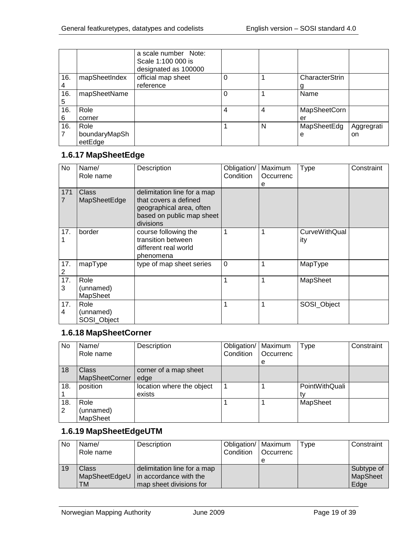|     |               | a scale number Note:<br>Scale 1:100 000 is<br>designated as 100000 |   |   |                     |            |
|-----|---------------|--------------------------------------------------------------------|---|---|---------------------|------------|
| 16. | mapSheetIndex | official map sheet                                                 |   |   | CharacterStrin      |            |
| 4   |               | reference                                                          |   |   |                     |            |
| 16. | mapSheetName  |                                                                    |   |   | Name                |            |
| 5   |               |                                                                    |   |   |                     |            |
| 16. | Role          |                                                                    | 4 | 4 | <b>MapSheetCorn</b> |            |
| 6   | corner        |                                                                    |   |   | er                  |            |
| 16. | Role          |                                                                    |   | N | MapSheetEdg         | Aggregrati |
|     | boundaryMapSh |                                                                    |   |   | e                   | on         |
|     | eetEdge       |                                                                    |   |   |                     |            |

#### <span id="page-18-0"></span>**1.6.17 MapSheetEdge**

| No                    | Name/<br>Role name               | Description                                                                                                                | Obligation/<br>Condition | Maximum<br>Occurrenc<br>е | <b>Type</b>                 | Constraint |
|-----------------------|----------------------------------|----------------------------------------------------------------------------------------------------------------------------|--------------------------|---------------------------|-----------------------------|------------|
| 171<br>$\overline{7}$ | Class<br>MapSheetEdge            | delimitation line for a map<br>that covers a defined<br>geographical area, often<br>based on public map sheet<br>divisions |                          |                           |                             |            |
| 17.                   | border                           | course following the<br>transition between<br>different real world<br>phenomena                                            |                          |                           | <b>CurveWithQual</b><br>ity |            |
| 17.<br>2              | mapType                          | type of map sheet series                                                                                                   | $\mathbf 0$              |                           | MapType                     |            |
| 17.<br>3              | Role<br>(unnamed)<br>MapSheet    |                                                                                                                            |                          |                           | MapSheet                    |            |
| 17.<br>4              | Role<br>(unnamed)<br>SOSI_Object |                                                                                                                            |                          |                           | SOSI_Object                 |            |

#### <span id="page-18-1"></span>**1.6.18 MapSheetCorner**

| <b>No</b>             | Name/<br>Role name                   | Description                         | Obligation/   Maximum<br>Condition | Occurrenc<br>e | Type           | Constraint |
|-----------------------|--------------------------------------|-------------------------------------|------------------------------------|----------------|----------------|------------|
| 18                    | Class<br><b>MapSheetCorner</b>       | corner of a map sheet<br>edge       |                                    |                |                |            |
| 18.                   | position                             | location where the object<br>exists |                                    |                | PointWithQuali |            |
| 18.<br>$\overline{2}$ | Role<br>(unnamed)<br><b>MapSheet</b> |                                     |                                    |                | MapSheet       |            |

#### <span id="page-18-2"></span>**1.6.19 MapSheetEdgeUTM**

| No | Name/<br>Role name | Description                            | Obligation/   Maximum<br>Condition | l Occurrenc | Type | Constraint |
|----|--------------------|----------------------------------------|------------------------------------|-------------|------|------------|
|    |                    |                                        |                                    |             |      |            |
| 19 | Class              | delimitation line for a map            |                                    |             |      | Subtype of |
|    |                    | MapSheetEdgeU   in accordance with the |                                    |             |      | MapSheet   |
|    | TM                 | map sheet divisions for                |                                    |             |      | Edge       |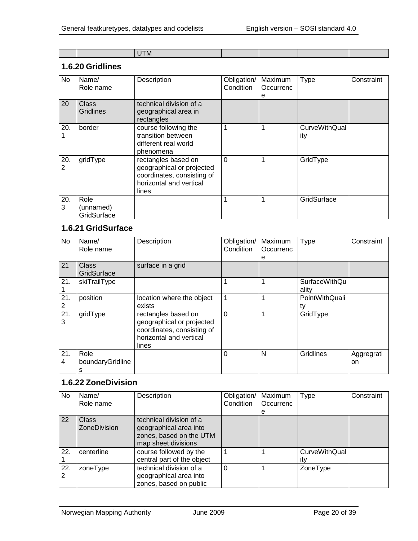|  | -----<br>LI M-<br>$\sim$ |  |  |
|--|--------------------------|--|--|

#### <span id="page-19-0"></span>**1.6.20 Gridlines**

| No       | Name/<br>Role name               | Description                                                                                                        | Obligation/<br>Condition | Maximum<br>Occurrenc<br>е | Type                        | Constraint |
|----------|----------------------------------|--------------------------------------------------------------------------------------------------------------------|--------------------------|---------------------------|-----------------------------|------------|
| 20       | Class<br><b>Gridlines</b>        | technical division of a<br>geographical area in<br>rectangles                                                      |                          |                           |                             |            |
| 20.      | border                           | course following the<br>transition between<br>different real world<br>phenomena                                    |                          |                           | <b>CurveWithQual</b><br>ity |            |
| 20.<br>2 | gridType                         | rectangles based on<br>geographical or projected<br>coordinates, consisting of<br>horizontal and vertical<br>lines | $\Omega$                 |                           | GridType                    |            |
| 20.<br>3 | Role<br>(unnamed)<br>GridSurface |                                                                                                                    |                          |                           | GridSurface                 |            |

#### <span id="page-19-1"></span>**1.6.21 GridSurface**

| No       | Name/<br>Role name            | Description                                                                                                        | Obligation/<br>Condition | Maximum<br>Occurrenc<br>е | Type                          | Constraint       |
|----------|-------------------------------|--------------------------------------------------------------------------------------------------------------------|--------------------------|---------------------------|-------------------------------|------------------|
| 21       | Class<br>GridSurface          | surface in a grid                                                                                                  |                          |                           |                               |                  |
| 21.      | skiTrailType                  |                                                                                                                    | 1                        | 1                         | <b>SurfaceWithQu</b><br>ality |                  |
| 21.<br>2 | position                      | location where the object<br>exists                                                                                | $\overline{1}$           | 1                         | PointWithQuali<br>tv          |                  |
| 21<br>3  | gridType                      | rectangles based on<br>geographical or projected<br>coordinates, consisting of<br>horizontal and vertical<br>lines | $\Omega$                 | 1                         | GridType                      |                  |
| 21.<br>4 | Role<br>boundaryGridline<br>s |                                                                                                                    | $\Omega$                 | N                         | Gridlines                     | Aggregrati<br>on |

#### <span id="page-19-2"></span>**1.6.22 ZoneDivision**

| No.      | Name/<br>Role name                  | Description                                                                                         | Obligation/<br>Condition | Maximum<br>Occurrenc | Type                        | Constraint |
|----------|-------------------------------------|-----------------------------------------------------------------------------------------------------|--------------------------|----------------------|-----------------------------|------------|
|          |                                     |                                                                                                     |                          | е                    |                             |            |
| 22       | <b>Class</b><br><b>ZoneDivision</b> | technical division of a<br>geographical area into<br>zones, based on the UTM<br>map sheet divisions |                          |                      |                             |            |
| 22.      | centerline                          | course followed by the<br>central part of the object                                                |                          |                      | <b>CurveWithQual</b><br>itv |            |
| 22.<br>2 | zoneType                            | technical division of a<br>geographical area into<br>zones, based on public                         | 0                        |                      | ZoneType                    |            |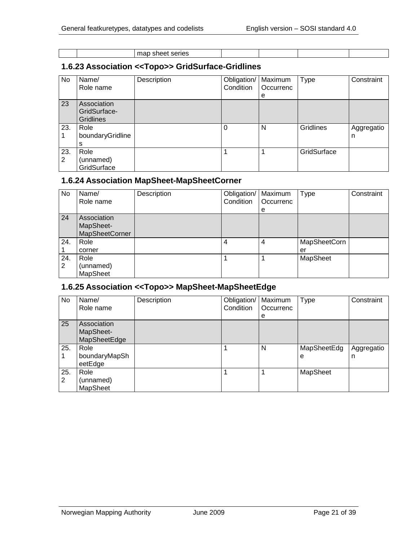| - 100<br>- - |  |  |
|--------------|--|--|
|--------------|--|--|

#### <span id="page-20-0"></span>**1.6.23 Association <<Topo>> GridSurface-Gridlines**

| No       | Name/<br>Role name                              | Description | Obligation/<br>Condition | Maximum<br>Occurrenc | <b>Type</b>      | Constraint      |
|----------|-------------------------------------------------|-------------|--------------------------|----------------------|------------------|-----------------|
|          |                                                 |             |                          | е                    |                  |                 |
| 23       | Association<br>GridSurface-<br><b>Gridlines</b> |             |                          |                      |                  |                 |
| 23.      | Role<br>boundaryGridline<br>s                   |             |                          | N                    | <b>Gridlines</b> | Aggregatio<br>n |
| 23.<br>2 | Role<br>(unnamed)<br>GridSurface                |             |                          |                      | GridSurface      |                 |

#### <span id="page-20-1"></span>**1.6.24 Association MapSheet-MapSheetCorner**

| No.      | Name/<br>Role name                                | Description | Obligation/   Maximum<br>Condition | Occurrenc<br>е | Type               | Constraint |
|----------|---------------------------------------------------|-------------|------------------------------------|----------------|--------------------|------------|
| 24       | Association<br>MapSheet-<br><b>MapSheetCorner</b> |             |                                    |                |                    |            |
| 24.      | Role<br>corner                                    |             | 4                                  | 4              | MapSheetCorn<br>er |            |
| 24.<br>2 | Role<br>(unnamed)<br><b>MapSheet</b>              |             |                                    |                | MapSheet           |            |

#### <span id="page-20-2"></span>**1.6.25 Association <<Topo>> MapSheet-MapSheetEdge**

| No       | Name/<br>Role name                       | Description | Obligation/<br>Condition | Maximum<br>Occurrenc<br>е | <b>Type</b>      | Constraint      |
|----------|------------------------------------------|-------------|--------------------------|---------------------------|------------------|-----------------|
| 25       | Association<br>MapSheet-<br>MapSheetEdge |             |                          |                           |                  |                 |
| 25.      | Role<br>boundaryMapSh<br>eetEdge         |             |                          | N                         | MapSheetEdg<br>е | Aggregatio<br>n |
| 25.<br>2 | Role<br>(unnamed)<br>MapSheet            |             |                          |                           | MapSheet         |                 |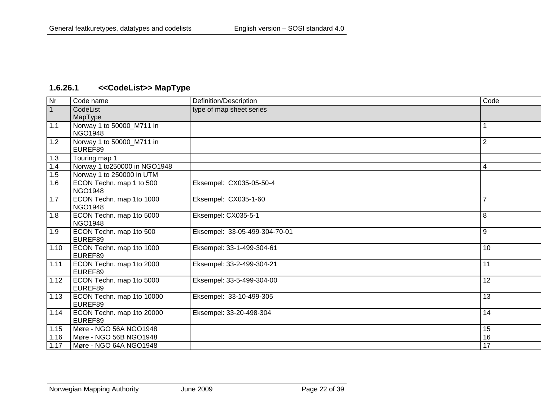# **1.6.26.1 <<CodeList>> MapType**

<span id="page-21-0"></span>

| Nr             | Code name                     | Definition/Description        | Code           |
|----------------|-------------------------------|-------------------------------|----------------|
| $\overline{1}$ | CodeList                      | type of map sheet series      |                |
|                | MapType                       |                               |                |
| 1.1            | Norway 1 to 50000_M711 in     |                               |                |
|                | <b>NGO1948</b>                |                               |                |
| 1.2            | Norway 1 to 50000_M711 in     |                               | $\overline{2}$ |
|                | EUREF89                       |                               |                |
| 1.3            | Touring map 1                 |                               |                |
| 1.4            | Norway 1 to 250000 in NGO1948 |                               | 4              |
| 1.5            | Norway 1 to 250000 in UTM     |                               |                |
| 1.6            | ECON Techn. map 1 to 500      | Eksempel: CX035-05-50-4       |                |
|                | <b>NGO1948</b>                |                               |                |
| 1.7            | ECON Techn. map 1to 1000      | Eksempel: CX035-1-60          | $\overline{7}$ |
|                | <b>NGO1948</b>                |                               |                |
| 1.8            | ECON Techn. map 1to 5000      | Eksempel: CX035-5-1           | 8              |
|                | <b>NGO1948</b>                |                               |                |
| 1.9            | ECON Techn. map 1to 500       | Eksempel: 33-05-499-304-70-01 | 9              |
|                | EUREF89                       |                               |                |
| 1.10           | ECON Techn. map 1to 1000      | Eksempel: 33-1-499-304-61     | 10             |
|                | EUREF89                       |                               |                |
| 1.11           | ECON Techn. map 1to 2000      | Eksempel: 33-2-499-304-21     | 11             |
|                | EUREF89                       |                               |                |
| 1.12           | ECON Techn. map 1to 5000      | Eksempel: 33-5-499-304-00     | 12             |
|                | EUREF89                       |                               |                |
| 1.13           | ECON Techn. map 1to 10000     | Eksempel: 33-10-499-305       | 13             |
|                | EUREF89                       |                               |                |
| 1.14           | ECON Techn. map 1to 20000     | Eksempel: 33-20-498-304       | 14             |
|                | EUREF89                       |                               |                |
| 1.15           | Møre - NGO 56A NGO1948        |                               | 15             |
| 1.16           | Møre - NGO 56B NGO1948        |                               | 16             |
| 1.17           | Møre - NGO 64A NGO1948        |                               | 17             |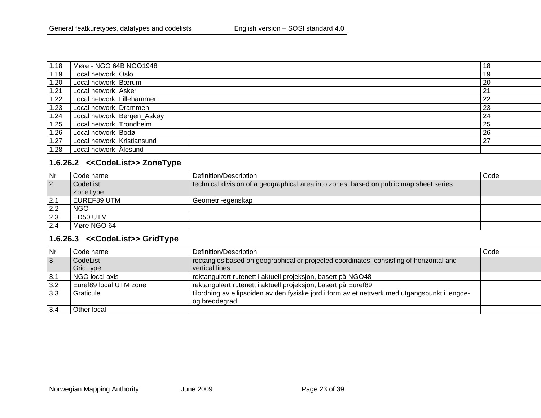| 1.18 | Møre - NGO 64B NGO1948      | 18 |
|------|-----------------------------|----|
| 1.19 | Local network, Oslo         | 19 |
| 1.20 | Local network, Bærum        | 20 |
| 1.21 | Local network, Asker        | 21 |
| 1.22 | Local network, Lillehammer  | 22 |
| 1.23 | Local network, Drammen      | 23 |
| 1.24 | Local network, Bergen_Askøy | 24 |
| 1.25 | Local network, Trondheim    | 25 |
| 1.26 | Local network, Bodø         | 26 |
| 1.27 | Local network, Kristiansund | 27 |
| 1.28 | Local network, Ålesund      |    |

#### **1.6.26.2 <<CodeList>> ZoneType**

| Nr             | Code name   | Definition/Description                                                                 | Code |
|----------------|-------------|----------------------------------------------------------------------------------------|------|
| $\overline{2}$ | CodeList    | technical division of a geographical area into zones, based on public map sheet series |      |
|                | ZoneType    |                                                                                        |      |
| 2.1            | EUREF89 UTM | Geometri-egenskap                                                                      |      |
| 2.2            | <b>NGO</b>  |                                                                                        |      |
| 2.3            | l ED50 UTM  |                                                                                        |      |
| 2.4            | Møre NGO 64 |                                                                                        |      |

#### **1.6.26.3 <<CodeList>> GridType**

<span id="page-22-1"></span><span id="page-22-0"></span>

| <b>Nr</b>      | Code name              | Definition/Description                                                                         | Code |
|----------------|------------------------|------------------------------------------------------------------------------------------------|------|
| $\overline{3}$ | CodeList               | rectangles based on geographical or projected coordinates, consisting of horizontal and        |      |
|                | GridType               | vertical lines                                                                                 |      |
| 3.1            | NGO local axis         | rektangulært rutenett i aktuell projeksjon, basert på NGO48                                    |      |
| 3.2            | Euref89 local UTM zone | rektangulært rutenett i aktuell projeksjon, basert på Euref89                                  |      |
| 3.3            | Graticule              | tilordning av ellipsoiden av den fysiske jord i form av et nettverk med utgangspunkt i lengde- |      |
|                |                        | og breddegrad                                                                                  |      |
| 3.4            | Other local            |                                                                                                |      |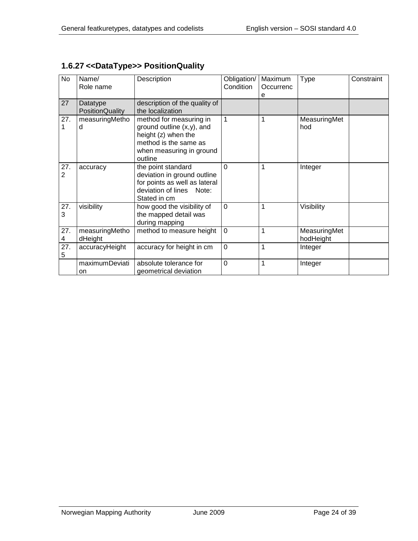| <b>No</b>              | Name/<br>Role name                 | Description                                                                                                                                    | Obligation/<br>Condition | Maximum<br>Occurrenc | Type                      | Constraint |
|------------------------|------------------------------------|------------------------------------------------------------------------------------------------------------------------------------------------|--------------------------|----------------------|---------------------------|------------|
| 27                     | Datatype<br><b>PositionQuality</b> | description of the quality of<br>the localization                                                                                              |                          | e                    |                           |            |
| 27.<br>1               | measuringMetho<br>d                | method for measuring in<br>ground outline $(x,y)$ , and<br>height (z) when the<br>method is the same as<br>when measuring in ground<br>outline | $\mathbf{1}$             | 1                    | MeasuringMet<br>hod       |            |
| 27.<br>2               | accuracy                           | the point standard<br>deviation in ground outline<br>for points as well as lateral<br>deviation of lines Note:<br>Stated in cm                 | $\Omega$                 | 1                    | Integer                   |            |
| 27.<br>3               | visibility                         | how good the visibility of<br>the mapped detail was<br>during mapping                                                                          | $\overline{0}$           | 1                    | Visibility                |            |
| 27.<br>4               | measuringMetho<br>dHeight          | method to measure height                                                                                                                       | $\mathbf 0$              | 1                    | MeasuringMet<br>hodHeight |            |
| $\overline{27}$ .<br>5 | accuracyHeight                     | accuracy for height in cm                                                                                                                      | $\mathbf 0$              | 1                    | Integer                   |            |
|                        | maximumDeviati<br>on.              | absolute tolerance for<br>geometrical deviation                                                                                                | $\mathbf 0$              | 1                    | Integer                   |            |

## <span id="page-23-0"></span>**1.6.27 <<DataType>> PositionQuality**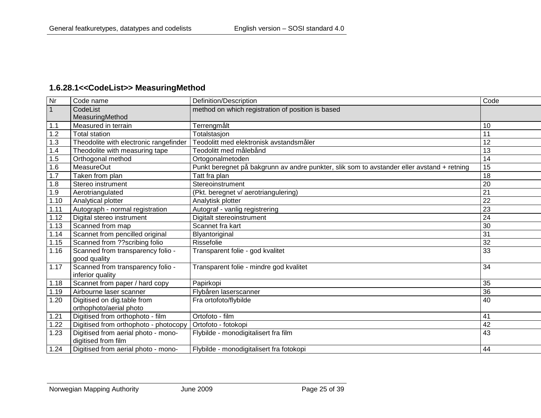## **1.6.28.1<<CodeList>> MeasuringMethod**

<span id="page-24-0"></span>

| Nr             | Code name                              | Definition/Description                                                                     | Code |
|----------------|----------------------------------------|--------------------------------------------------------------------------------------------|------|
| $\overline{1}$ | CodeList                               | method on which registration of position is based                                          |      |
|                | MeasuringMethod                        |                                                                                            |      |
| 1.1            | Measured in terrain                    | Terrengmålt                                                                                | 10   |
| 1.2            | <b>Total station</b>                   | Totalstasjon                                                                               | 11   |
| 1.3            | Theodolite with electronic rangefinder | Teodolitt med elektronisk avstandsmåler                                                    | 12   |
| 1.4            | Theodolite with measuring tape         | Teodolitt med målebånd                                                                     | 13   |
| 1.5            | Orthogonal method                      | Ortogonalmetoden                                                                           | 14   |
| 1.6            | <b>MeasureOut</b>                      | Punkt beregnet på bakgrunn av andre punkter, slik som to avstander eller avstand + retning | 15   |
| 1.7            | Taken from plan                        | Tatt fra plan                                                                              | 18   |
| 1.8            | Stereo instrument                      | Stereoinstrument                                                                           | 20   |
| 1.9            | Aerotriangulated                       | (Pkt. beregnet v/ aerotriangulering)                                                       | 21   |
| 1.10           | Analytical plotter                     | Analytisk plotter                                                                          | 22   |
| 1.11           | Autograph - normal registration        | Autograf - vanlig registrering                                                             | 23   |
| 1.12           | Digital stereo instrument              | Digitalt stereoinstrument                                                                  | 24   |
| 1.13           | Scanned from map                       | Scannet fra kart                                                                           | 30   |
| 1.14           | Scannet from pencilled original        | Blyantoriginal                                                                             | 31   |
| 1.15           | Scanned from ??scribing folio          | Rissefolie                                                                                 | 32   |
| 1.16           | Scanned from transparency folio -      | Transparent folie - god kvalitet                                                           | 33   |
|                | good quality                           |                                                                                            |      |
| 1.17           | Scanned from transparency folio -      | Transparent folie - mindre god kvalitet                                                    | 34   |
|                | inferior quality                       |                                                                                            |      |
| 1.18           | Scannet from paper / hard copy         | Papirkopi                                                                                  | 35   |
| 1.19           | Airbourne laser scanner                | Flybåren laserscanner                                                                      | 36   |
| 1.20           | Digitised on dig.table from            | Fra ortofoto/flybilde                                                                      | 40   |
|                | orthophoto/aerial photo                |                                                                                            |      |
| 1.21           | Digitised from orthophoto - film       | Ortofoto - film                                                                            | 41   |
| .22            | Digitised from orthophoto - photocopy  | Ortofoto - fotokopi                                                                        | 42   |
| 1.23           | Digitised from aerial photo - mono-    | Flybilde - monodigitalisert fra film                                                       | 43   |
|                | digitised from film                    |                                                                                            |      |
| 1.24           | Digitised from aerial photo - mono-    | Flybilde - monodigitalisert fra fotokopi                                                   | 44   |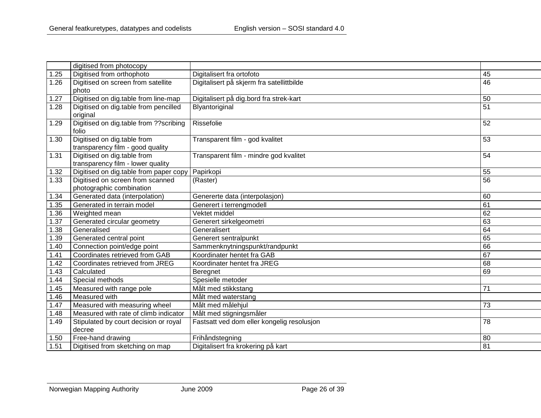|      | digitised from photocopy                |                                            |    |
|------|-----------------------------------------|--------------------------------------------|----|
| 1.25 | Digitised from orthophoto               | Digitalisert fra ortofoto                  | 45 |
| 1.26 | Digitised on screen from satellite      | Digitalisert på skjerm fra satellittbilde  | 46 |
|      | photo                                   |                                            |    |
| 1.27 | Digitised on dig.table from line-map    | Digitalisert på dig.bord fra strek-kart    | 50 |
| 1.28 | Digitised on dig.table from pencilled   | Blyantoriginal                             | 51 |
|      | original                                |                                            |    |
| 1.29 | Digitised on dig.table from ?? scribing | Rissefolie                                 | 52 |
|      | folio                                   |                                            |    |
| 1.30 | Digitised on dig.table from             | Transparent film - god kvalitet            | 53 |
|      | transparency film - good quality        |                                            |    |
| 1.31 | Digitised on dig.table from             | Transparent film - mindre god kvalitet     | 54 |
|      | transparency film - lower quality       |                                            |    |
| 1.32 | Digitised on dig.table from paper copy  | Papirkopi                                  | 55 |
| 1.33 | Digitised on screen from scanned        | (Raster)                                   | 56 |
|      | photographic combination                |                                            |    |
| 1.34 | Generated data (interpolation)          | Genererte data (interpolasjon)             | 60 |
| 1.35 | Generated in terrain model              | Generert i terrengmodell                   | 61 |
| 1.36 | Weighted mean                           | Vektet middel                              | 62 |
| 1.37 | Generated circular geometry             | Generert sirkelgeometri                    | 63 |
| 1.38 | Generalised                             | Generalisert                               | 64 |
| 1.39 | Generated central point                 | Generert sentralpunkt                      | 65 |
| 1.40 | Connection point/edge point             | Sammenknytningspunkt/randpunkt             | 66 |
| 1.41 | Coordinates retrieved from GAB          | Koordinater hentet fra GAB                 | 67 |
| 1.42 | Coordinates retrieved from JREG         | Koordinater hentet fra JREG                | 68 |
| 1.43 | Calculated                              | Beregnet                                   | 69 |
| 1.44 | Special methods                         | Spesielle metoder                          |    |
| 1.45 | Measured with range pole                | Målt med stikkstang                        | 71 |
| 1.46 | Measured with                           | Målt med waterstang                        |    |
| 1.47 | Measured with measuring wheel           | Målt med målehjul                          | 73 |
| 1.48 | Measured with rate of climb indicator   | Målt med stigningsmåler                    |    |
| 1.49 | Stipulated by court decision or royal   | Fastsatt ved dom eller kongelig resolusjon | 78 |
|      | decree                                  |                                            |    |
| 1.50 | Free-hand drawing                       | Frihåndstegning                            | 80 |
| 1.51 | Digitised from sketching on map         | Digitalisert fra krokering på kart         | 81 |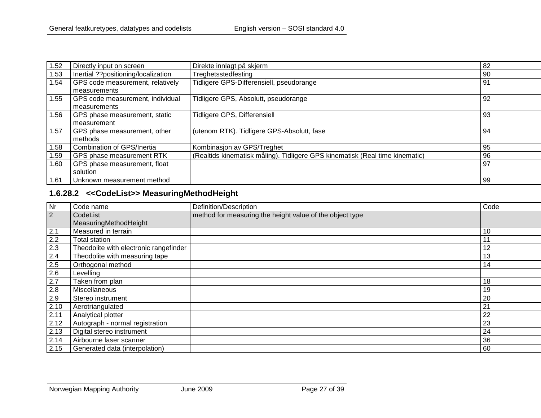| Directly input on screen            | Direkte innlagt på skjerm                                                    | 82  |
|-------------------------------------|------------------------------------------------------------------------------|-----|
| Inertial ??positioning/localization | Treghetsstedfesting                                                          | -90 |
| GPS code measurement, relatively    | Tidligere GPS-Differensiell, pseudorange                                     | 91  |
| measurements                        |                                                                              |     |
| GPS code measurement, individual    | Tidligere GPS, Absolutt, pseudorange                                         | 92  |
| measurements                        |                                                                              |     |
| GPS phase measurement, static       | Tidligere GPS, Differensiell                                                 | 93  |
| measurement                         |                                                                              |     |
| GPS phase measurement, other        | (utenom RTK). Tidligere GPS-Absolutt, fase                                   | 94  |
| methods                             |                                                                              |     |
| Combination of GPS/Inertia          | Kombinasjon av GPS/Treghet                                                   | 95  |
| GPS phase measurement RTK           | (Realtids kinematisk måling). Tidligere GPS kinematisk (Real time kinematic) | 96  |
| GPS phase measurement, float        |                                                                              | 97  |
| solution                            |                                                                              |     |
| Unknown measurement method          |                                                                              | 99  |
|                                     |                                                                              |     |

## **1.6.28.2 <<CodeList>> MeasuringMethodHeight**

<span id="page-26-0"></span>

| <b>Nr</b>      | Code name                              | Definition/Description                                   | Code           |
|----------------|----------------------------------------|----------------------------------------------------------|----------------|
| $\overline{2}$ | CodeList<br>MeasuringMethodHeight      | method for measuring the height value of the object type |                |
| 2.1            | Measured in terrain                    |                                                          | 10             |
| 2.2            | Total station                          |                                                          | $1^{\circ}$    |
| 2.3            | Theodolite with electronic rangefinder |                                                          | 12             |
| 2.4            | Theodolite with measuring tape         |                                                          | 13             |
| 2.5            | Orthogonal method                      |                                                          | 14             |
| 2.6            | Levelling                              |                                                          |                |
| 2.7            | Taken from plan                        |                                                          | 18             |
| 2.8            | Miscellaneous                          |                                                          | 19             |
| 2.9            | Stereo instrument                      |                                                          | 20             |
| 2.10           | Aerotriangulated                       |                                                          | 2 <sup>1</sup> |
| 2.11           | Analytical plotter                     |                                                          | 22             |
| 2.12           | Autograph - normal registration        |                                                          | 23             |
| 2.13           | Digital stereo instrument              |                                                          | 24             |
| 2.14           | Airbourne laser scanner                |                                                          | 36             |
| 2.15           | Generated data (interpolation)         |                                                          | 60             |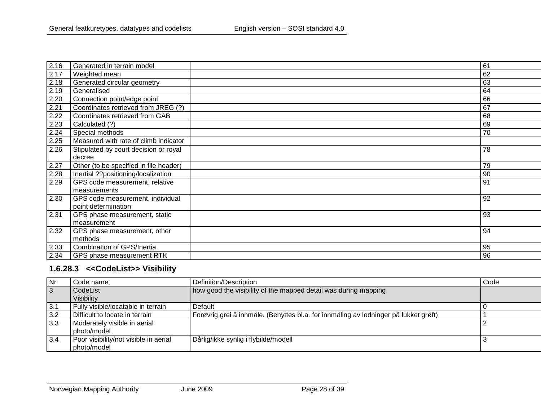| 2.16 | Generated in terrain model             | 61 |
|------|----------------------------------------|----|
| 2.17 | Weighted mean                          | 62 |
| 2.18 | Generated circular geometry            | 63 |
| 2.19 | Generalised                            | 64 |
| 2.20 | Connection point/edge point            | 66 |
| 2.21 | Coordinates retrieved from JREG (?)    | 67 |
| 2.22 | Coordinates retrieved from GAB         | 68 |
| 2.23 | Calculated (?)                         | 69 |
| 2.24 | Special methods                        | 70 |
| 2.25 | Measured with rate of climb indicator  |    |
| 2.26 | Stipulated by court decision or royal  | 78 |
|      | decree                                 |    |
| 2.27 | Other (to be specified in file header) | 79 |
| 2.28 | Inertial ??positioning/localization    | 90 |
| 2.29 | GPS code measurement, relative         | 91 |
|      | measurements                           |    |
| 2.30 | GPS code measurement, individual       | 92 |
|      | point determination                    |    |
| 2.31 | GPS phase measurement, static          | 93 |
|      | measurement                            |    |
| 2.32 | GPS phase measurement, other           | 94 |
|      | methods                                |    |
| 2.33 | Combination of GPS/Inertia             | 95 |
| 2.34 | GPS phase measurement RTK              | 96 |

# **1.6.28.3 <<CodeList>> Visibility**

<span id="page-27-0"></span>

| Nr  | Code name                                            | Definition/Description                                                               | Code |
|-----|------------------------------------------------------|--------------------------------------------------------------------------------------|------|
| 3   | CodeList<br>Visibility                               | how good the visibility of the mapped detail was during mapping                      |      |
| 3.1 | Fully visible/locatable in terrain                   | Default                                                                              |      |
| 3.2 | Difficult to locate in terrain                       | Forøvrig grei å innmåle. (Benyttes bl.a. for innmåling av ledninger på lukket grøft) |      |
| 3.3 | Moderately visible in aerial<br>l photo/model        |                                                                                      |      |
| 3.4 | Poor visibility/not visible in aerial<br>photo/model | Dårlig/ikke synlig i flybilde/modell                                                 |      |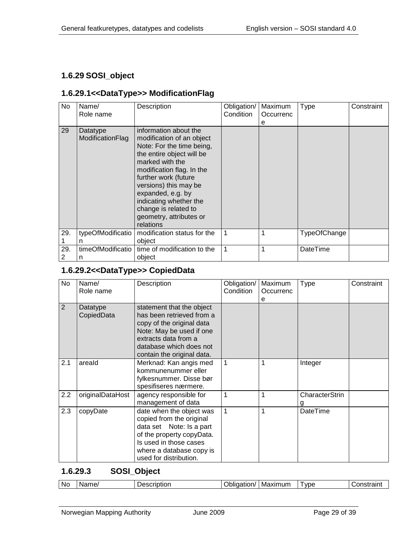#### <span id="page-28-0"></span>**1.6.29 SOSI\_object**

#### <span id="page-28-1"></span>**1.6.29.1<<DataType>> ModificationFlag**

| No       | Name/<br>Role name           | Description                                                                                                                                                                                                                                                                                                                  | Obligation/<br>Condition | Maximum<br>Occurrenc<br>е | Type         | Constraint |
|----------|------------------------------|------------------------------------------------------------------------------------------------------------------------------------------------------------------------------------------------------------------------------------------------------------------------------------------------------------------------------|--------------------------|---------------------------|--------------|------------|
| 29       | Datatype<br>ModificationFlag | information about the<br>modification of an object<br>Note: For the time being,<br>the entire object will be<br>marked with the<br>modification flag. In the<br>further work (future<br>versions) this may be<br>expanded, e.g. by<br>indicating whether the<br>change is related to<br>geometry, attributes or<br>relations |                          |                           |              |            |
| 29.      | typeOfModificatio<br>n       | modification status for the<br>object                                                                                                                                                                                                                                                                                        | 1                        |                           | TypeOfChange |            |
| 29.<br>2 | timeOfModificatio<br>n       | time of modification to the<br>object                                                                                                                                                                                                                                                                                        | 1                        |                           | DateTime     |            |

#### <span id="page-28-2"></span>**1.6.29.2<<DataType>> CopiedData**

| No  | Name/<br>Role name     | Description                                                                                                                                                                                      | Obligation/<br>Condition | Maximum<br>Occurrenc<br>е | <b>Type</b>    | Constraint |
|-----|------------------------|--------------------------------------------------------------------------------------------------------------------------------------------------------------------------------------------------|--------------------------|---------------------------|----------------|------------|
| 2   | Datatype<br>CopiedData | statement that the object<br>has been retrieved from a<br>copy of the original data<br>Note: May be used if one<br>extracts data from a<br>database which does not<br>contain the original data. |                          |                           |                |            |
| 2.1 | areald                 | Merknad: Kan angis med<br>kommunenummer eller<br>fylkesnummer. Disse bør<br>spesifiseres nærmere.                                                                                                | $\mathbf{1}$             |                           | Integer        |            |
| 2.2 | originalDataHost       | agency responsible for<br>management of data                                                                                                                                                     | 1                        | 1                         | CharacterStrin |            |
| 2.3 | copyDate               | date when the object was<br>copied from the original<br>data set Note: Is a part<br>of the property copyData.<br>Is used in those cases<br>where a database copy is<br>used for distribution.    | $\mathbf 1$              | 1                         | DateTime       |            |

#### <span id="page-28-3"></span>**1.6.29.3 SOSI\_Object**

| .Nc | Name | . JASCUNTIOL<br>vescription | .<br>∍תסוזי<br>эн<br>. ורזו | Maximum | vpe | $-1.00000$<br>101 |
|-----|------|-----------------------------|-----------------------------|---------|-----|-------------------|
|-----|------|-----------------------------|-----------------------------|---------|-----|-------------------|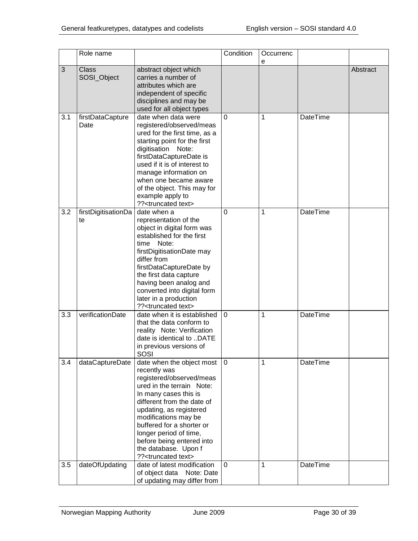|     | Role name                   |                                                                                                                                                                                                                                                                                                                                                                | Condition      | Occurrenc<br>е |          |          |
|-----|-----------------------------|----------------------------------------------------------------------------------------------------------------------------------------------------------------------------------------------------------------------------------------------------------------------------------------------------------------------------------------------------------------|----------------|----------------|----------|----------|
| 3   | <b>Class</b><br>SOSI_Object | abstract object which<br>carries a number of<br>attributes which are<br>independent of specific<br>disciplines and may be<br>used for all object types                                                                                                                                                                                                         |                |                |          | Abstract |
| 3.1 | firstDataCapture<br>Date    | date when data were<br>registered/observed/meas<br>ured for the first time, as a<br>starting point for the first<br>digitisation Note:<br>firstDataCaptureDate is<br>used if it is of interest to<br>manage information on<br>when one became aware<br>of the object. This may for<br>example apply to<br>?? <truncated text=""></truncated>                   | $\overline{0}$ | 1              | DateTime |          |
| 3.2 | firstDigitisationDa<br>te   | date when a<br>representation of the<br>object in digital form was<br>established for the first<br>Note:<br>time<br>firstDigitisationDate may<br>differ from<br>firstDataCaptureDate by<br>the first data capture<br>having been analog and<br>converted into digital form<br>later in a production<br>?? <truncated text=""></truncated>                      | $\Omega$       | 1              | DateTime |          |
| 3.3 | verificationDate            | date when it is established<br>that the data conform to<br>reality Note: Verification<br>date is identical to DATE<br>in previous versions of<br>SOSI                                                                                                                                                                                                          | $\overline{0}$ | 1              | DateTime |          |
| 3.4 | dataCaptureDate             | date when the object most<br>recently was<br>registered/observed/meas<br>ured in the terrain Note:<br>In many cases this is<br>different from the date of<br>updating, as registered<br>modifications may be<br>buffered for a shorter or<br>longer period of time,<br>before being entered into<br>the database. Upon f<br>?? <truncated text=""></truncated> | 0              | 1              | DateTime |          |
| 3.5 | dateOfUpdating              | date of latest modification<br>of object data Note: Date<br>of updating may differ from                                                                                                                                                                                                                                                                        | $\mathbf{0}$   | 1              | DateTime |          |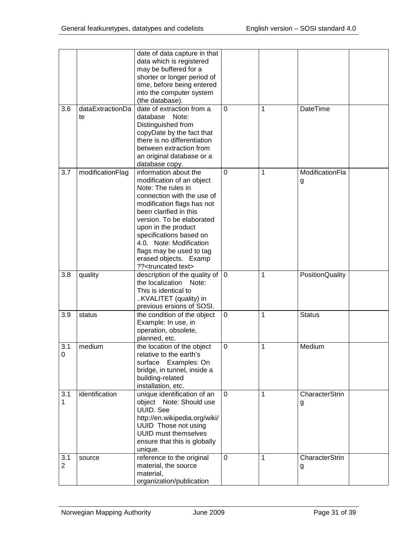|          |                        | date of data capture in that<br>data which is registered<br>may be buffered for a<br>shorter or longer period of<br>time, before being entered<br>into the computer system<br>(the database).                                                                                                                                                                       |             |   |                            |
|----------|------------------------|---------------------------------------------------------------------------------------------------------------------------------------------------------------------------------------------------------------------------------------------------------------------------------------------------------------------------------------------------------------------|-------------|---|----------------------------|
| 3.6      | dataExtractionDa<br>te | date of extraction from a<br>database<br>Note:<br>Distinguished from<br>copyDate by the fact that<br>there is no differentiation<br>between extraction from<br>an original database or a<br>database copy.                                                                                                                                                          | 0           | 1 | DateTime                   |
| 3.7      | modificationFlag       | information about the<br>modification of an object<br>Note: The rules in<br>connection with the use of<br>modification flags has not<br>been clarified in this<br>version. To be elaborated<br>upon in the product<br>specifications based on<br>4.0. Note: Modification<br>flags may be used to tag<br>erased objects. Examp<br>?? <truncated text=""></truncated> | 0           | 1 | ModificationFla<br>g       |
| 3.8      | quality                | description of the quality of<br>the localization<br>Note:<br>This is identical to<br>KVALITET (quality) in<br>previous ersions of SOSI.                                                                                                                                                                                                                            | $\mathbf 0$ | 1 | PositionQuality            |
| 3.9      | status                 | the condition of the object<br>Example: In use, in<br>operation, obsolete,<br>planned, etc.                                                                                                                                                                                                                                                                         | 0           | 1 | <b>Status</b>              |
| 3.1<br>0 | medium                 | the location of the object<br>relative to the earth's<br>Examples: On<br>surface<br>bridge, in tunnel, inside a<br>building-related<br>installation, etc.                                                                                                                                                                                                           | 0           | 1 | Medium                     |
| 3.1<br>1 | identification         | unique identification of an<br>object Note: Should use<br><b>UUID.</b> See<br>http://en.wikipedia.org/wiki/<br>UUID Those not using<br><b>UUID must themselves</b><br>ensure that this is globally<br>unique.                                                                                                                                                       | 0           | 1 | <b>CharacterStrin</b><br>g |
| 3.1<br>2 | source                 | reference to the original<br>material, the source<br>material,<br>organization/publication                                                                                                                                                                                                                                                                          | 0           | 1 | CharacterStrin<br>g        |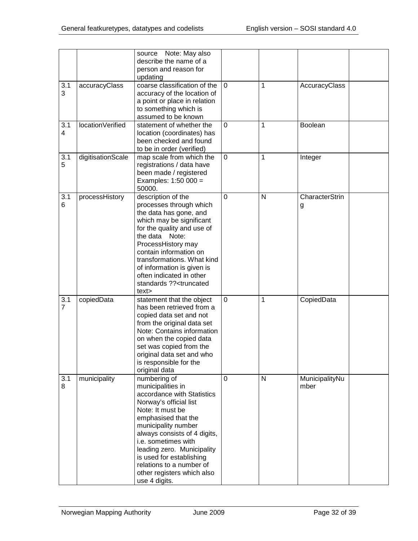|                       |                   | source Note: May also<br>describe the name of a<br>person and reason for<br>updating                                                                                                                                                                                                                                                                    |                |              |                            |  |
|-----------------------|-------------------|---------------------------------------------------------------------------------------------------------------------------------------------------------------------------------------------------------------------------------------------------------------------------------------------------------------------------------------------------------|----------------|--------------|----------------------------|--|
| 3.1<br>3              | accuracyClass     | coarse classification of the<br>accuracy of the location of<br>a point or place in relation<br>to something which is<br>assumed to be known                                                                                                                                                                                                             | $\Omega$       | 1            | AccuracyClass              |  |
| 3.1<br>$\overline{4}$ | locationVerified  | statement of whether the<br>location (coordinates) has<br>been checked and found<br>to be in order (verified)                                                                                                                                                                                                                                           | $\mathbf 0$    | $\mathbf{1}$ | Boolean                    |  |
| 3.1<br>5              | digitisationScale | map scale from which the<br>registrations / data have<br>been made / registered<br>Examples: 1:50 000 =<br>50000.                                                                                                                                                                                                                                       | $\mathbf 0$    | 1            | Integer                    |  |
| 3.1<br>6              | processHistory    | description of the<br>processes through which<br>the data has gone, and<br>which may be significant<br>for the quality and use of<br>the data<br>Note:<br>ProcessHistory may<br>contain information on<br>transformations. What kind<br>of information is given is<br>often indicated in other<br>standards ?? <truncated<br>text&gt;</truncated<br>    | $\overline{0}$ | N            | <b>CharacterStrin</b><br>g |  |
| 3.1<br>$\overline{7}$ | copiedData        | statement that the object<br>has been retrieved from a<br>copied data set and not<br>from the original data set<br>Note: Contains information<br>on when the copied data<br>set was copied from the<br>original data set and who<br>is responsible for the<br>original data                                                                             | $\mathbf 0$    | $\mathbf{1}$ | CopiedData                 |  |
| 3.1<br>8              | municipality      | numbering of<br>municipalities in<br>accordance with Statistics<br>Norway's official list<br>Note: It must be<br>emphasised that the<br>municipality number<br>always consists of 4 digits,<br>i.e. sometimes with<br>leading zero. Municipality<br>is used for establishing<br>relations to a number of<br>other registers which also<br>use 4 digits. | $\mathbf 0$    | N            | MunicipalityNu<br>mber     |  |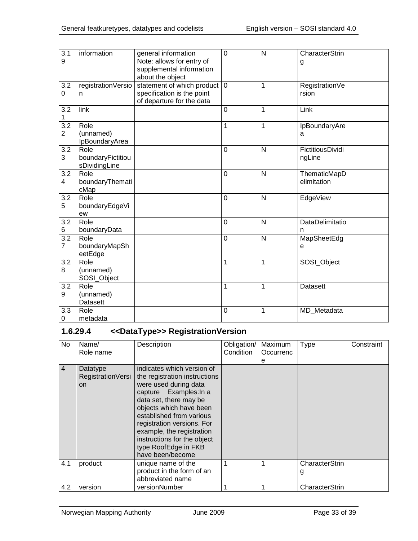| $\overline{3.1}$<br>9              | information                                | general information<br>Note: allows for entry of<br>supplemental information<br>about the object | $\overline{0}$ | N              | CharacterStrin<br>g         |
|------------------------------------|--------------------------------------------|--------------------------------------------------------------------------------------------------|----------------|----------------|-----------------------------|
| 3.2<br>0                           | registrationVersio<br>n                    | statement of which product  <br>specification is the point<br>of departure for the data          | $\mathbf 0$    | $\overline{1}$ | RegistrationVe<br>rsion     |
| 3.2<br>1                           | link                                       |                                                                                                  | 0              | 1              | Link                        |
| $\overline{3.2}$<br>$\overline{2}$ | Role<br>(unnamed)<br>IpBoundaryArea        |                                                                                                  | 1              | 1              | IpBoundaryAre<br>a          |
| 3.2<br>3                           | Role<br>boundaryFictitiou<br>sDividingLine |                                                                                                  | 0              | N              | FictitiousDividi<br>ngLine  |
| 3.2<br>4                           | Role<br>boundaryThemati<br>cMap            |                                                                                                  | 0              | N              | ThematicMapD<br>elimitation |
| 3.2<br>5                           | Role<br>boundaryEdgeVi<br>ew               |                                                                                                  | 0              | N              | EdgeView                    |
| 3.2<br>6                           | Role<br>boundaryData                       |                                                                                                  | $\overline{0}$ | N              | DataDelimitatio<br>n        |
| $\overline{3.2}$<br>$\overline{7}$ | Role<br>boundaryMapSh<br>eetEdge           |                                                                                                  | 0              | N              | MapSheetEdg<br>e            |
| $\overline{3.2}$<br>8              | Role<br>(unnamed)<br>SOSI_Object           |                                                                                                  | 1              | 1              | SOSI_Object                 |
| 3.2<br>9                           | Role<br>(unnamed)<br>Datasett              |                                                                                                  | 1              | $\mathbf{1}$   | Datasett                    |
| 3.3<br>0                           | Role<br>metadata                           |                                                                                                  | 0              | 1              | MD_Metadata                 |

#### <span id="page-32-0"></span>**1.6.29.4 <<DataType>> RegistrationVersion**

| No             | Name/<br>Role name                         | Description                                                                                                                                                                                                                                                                                                                           | Obligation/<br>Condition | Maximum<br>Occurrenc<br>е | <b>Type</b>         | Constraint |
|----------------|--------------------------------------------|---------------------------------------------------------------------------------------------------------------------------------------------------------------------------------------------------------------------------------------------------------------------------------------------------------------------------------------|--------------------------|---------------------------|---------------------|------------|
| $\overline{4}$ | Datatype<br>RegistrationVersi<br><b>on</b> | indicates which version of<br>the registration instructions<br>were used during data<br>capture Examples: In a<br>data set, there may be<br>objects which have been<br>established from various<br>registration versions. For<br>example, the registration<br>instructions for the object<br>type RoofEdge in FKB<br>have been/become |                          |                           |                     |            |
| 4.1            | product                                    | unique name of the<br>product in the form of an<br>abbreviated name                                                                                                                                                                                                                                                                   |                          |                           | CharacterStrin<br>g |            |
| 4.2            | version                                    | versionNumber                                                                                                                                                                                                                                                                                                                         |                          |                           | CharacterStrin      |            |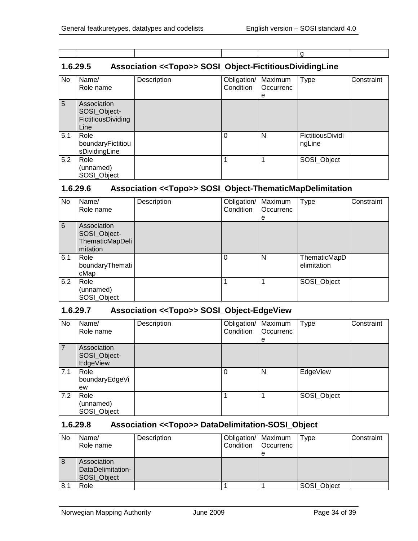g

# <span id="page-33-0"></span>**1.6.29.5 Association <<Topo>> SOSI\_Object-FictitiousDividingLine**

| No  | Name/<br>Role name                                        | Description | Obligation/<br>Condition | Maximum<br>Occurrenc<br>е | <b>Type</b>                | Constraint |
|-----|-----------------------------------------------------------|-------------|--------------------------|---------------------------|----------------------------|------------|
| 5   | Association<br>SOSI_Object-<br>FictitiousDividing<br>Line |             |                          |                           |                            |            |
| 5.1 | Role<br>boundaryFictitiou<br>sDividingLine                |             | 0                        | N                         | FictitiousDividi<br>ngLine |            |
| 5.2 | Role<br>(unnamed)<br>SOSI_Object                          |             |                          |                           | SOSI_Object                |            |

#### <span id="page-33-1"></span>**1.6.29.6 Association <<Topo>> SOSI\_Object-ThematicMapDelimitation**

| No  | Name/                                                      | Description | Obligation/ | Maximum   | <b>Type</b>                 | Constraint |
|-----|------------------------------------------------------------|-------------|-------------|-----------|-----------------------------|------------|
|     | Role name                                                  |             | Condition   | Occurrenc |                             |            |
|     |                                                            |             |             | е         |                             |            |
| 6   | Association<br>SOSI_Object-<br>ThematicMapDeli<br>mitation |             |             |           |                             |            |
| 6.1 | Role<br>boundaryThemati<br>cMap                            |             | 0           | N         | ThematicMapD<br>elimitation |            |
| 6.2 | Role<br>(unnamed)<br>SOSI_Object                           |             |             |           | SOSI_Object                 |            |

#### <span id="page-33-2"></span>**1.6.29.7 Association <<Topo>> SOSI\_Object-EdgeView**

| No             | Name/<br>Role name                      | Description | Obligation/   Maximum<br>Condition | Occurrenc<br>е | <b>Type</b> | Constraint |
|----------------|-----------------------------------------|-------------|------------------------------------|----------------|-------------|------------|
| $\overline{7}$ | Association<br>SOSI_Object-<br>EdgeView |             |                                    |                |             |            |
| 7.1            | Role<br>boundaryEdgeVi<br>ew            |             | $\Omega$                           | N              | EdgeView    |            |
| 7.2            | Role<br>(unnamed)<br>SOSI_Object        |             | 1                                  | 1              | SOSI_Object |            |

#### <span id="page-33-3"></span>**1.6.29.8 Association <<Topo>> DataDelimitation-SOSI\_Object**

| No  | Name/<br>Role name                              | Description | Obligation/   Maximum<br>Condition | <b>Occurrenc</b><br>e | Type        | Constraint |
|-----|-------------------------------------------------|-------------|------------------------------------|-----------------------|-------------|------------|
| 8   | Association<br>DataDelimitation-<br>SOSI Object |             |                                    |                       |             |            |
| 8.1 | Role                                            |             |                                    |                       | SOSI_Object |            |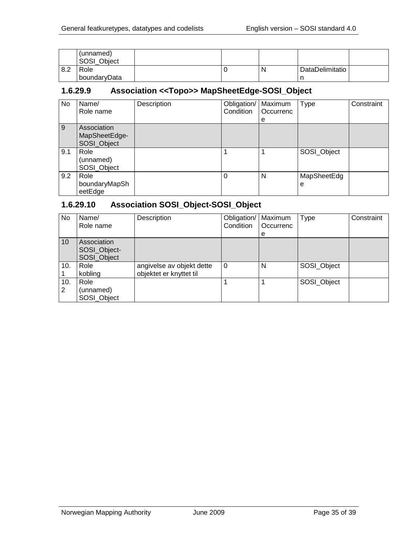|     | (unnamed)<br>SOSI_Object |  |   |                 |  |
|-----|--------------------------|--|---|-----------------|--|
| 8.2 | Role                     |  | N | DataDelimitatio |  |
|     | boundaryData             |  |   | n               |  |

#### <span id="page-34-0"></span>**1.6.29.9 Association <<Topo>> MapSheetEdge-SOSI\_Object**

| No. | Name/<br>Role name                          | Description | Obligation/<br>Condition | Maximum<br>Occurrenc<br>e | <b>Type</b>      | Constraint |
|-----|---------------------------------------------|-------------|--------------------------|---------------------------|------------------|------------|
| 9   | Association<br>MapSheetEdge-<br>SOSI_Object |             |                          |                           |                  |            |
| 9.1 | Role<br>(unnamed)<br>SOSI_Object            |             |                          |                           | SOSI_Object      |            |
| 9.2 | Role<br>boundaryMapSh<br>eetEdge            |             |                          | N                         | MapSheetEdg<br>е |            |

#### <span id="page-34-1"></span>**1.6.29.10 Association SOSI\_Object-SOSI\_Object**

| No.      | Name/<br>Role name                         | Description                                          | Obligation/   Maximum<br>Condition | Occurrenc<br>е | <b>Type</b> | Constraint |
|----------|--------------------------------------------|------------------------------------------------------|------------------------------------|----------------|-------------|------------|
| 10       | Association<br>SOSI_Object-<br>SOSI_Object |                                                      |                                    |                |             |            |
| 10.      | Role<br>kobling                            | angivelse av objekt dette<br>objektet er knyttet til | $\Omega$                           | N              | SOSI_Object |            |
| 10.<br>2 | Role<br>(unnamed)<br>SOSI_Object           |                                                      |                                    |                | SOSI_Object |            |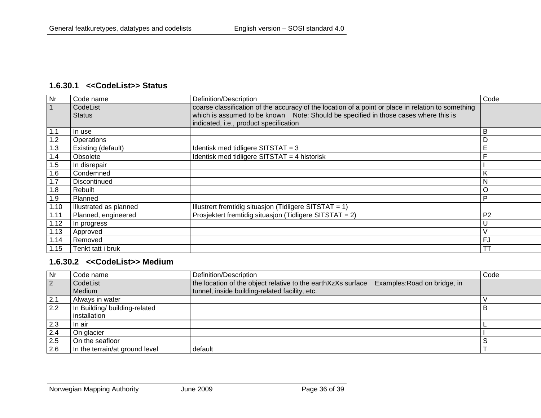#### **1.6.30.1 <<CodeList>> Status**

| Nr   | Code name              | Definition/Description                                                                             | Code           |
|------|------------------------|----------------------------------------------------------------------------------------------------|----------------|
|      | CodeList               | coarse classification of the accuracy of the location of a point or place in relation to something |                |
|      | <b>Status</b>          | which is assumed to be known Note: Should be specified in those cases where this is                |                |
|      |                        | indicated, i.e., product specification                                                             |                |
| 1.1  | In use                 |                                                                                                    | B              |
| 1.2  | Operations             |                                                                                                    | D              |
| 1.3  | Existing (default)     | Identisk med tidligere SITSTAT = $3$                                                               | Е              |
| 1.4  | Obsolete               | Identisk med tidligere SITSTAT = 4 historisk                                                       |                |
| 1.5  | In disrepair           |                                                                                                    |                |
| 1.6  | Condemned              |                                                                                                    | K              |
| 1.7  | Discontinued           |                                                                                                    | N              |
| 1.8  | Rebuilt                |                                                                                                    | O              |
| 1.9  | Planned                |                                                                                                    | P              |
| 1.10 | Illustrated as planned | Illustrert fremtidig situasjon (Tidligere SITSTAT = $1$ )                                          |                |
| 1.11 | Planned, engineered    | Prosjektert fremtidig situasjon (Tidligere SITSTAT = 2)                                            | P <sub>2</sub> |
| 1.12 | In progress            |                                                                                                    | U              |
| 1.13 | Approved               |                                                                                                    | $\vee$         |
| 1.14 | Removed                |                                                                                                    | FJ             |
| 1.15 | Tenkt tatt i bruk      |                                                                                                    | ТT             |

#### <span id="page-35-0"></span>**1.6.30.2 <<CodeList>> Medium**

<span id="page-35-1"></span>

| Nr  | Code name                      | Definition/Description                                                                       | Code |
|-----|--------------------------------|----------------------------------------------------------------------------------------------|------|
| 2   | CodeList                       | the location of the object relative to the earthXzXs surface<br>Examples: Road on bridge, in |      |
|     | Medium                         | tunnel, inside building-related facility, etc.                                               |      |
| 2.1 | Always in water                |                                                                                              |      |
| 2.2 | In Building/ building-related  |                                                                                              | в    |
|     | installation                   |                                                                                              |      |
| 2.3 | In air                         |                                                                                              |      |
| 2.4 | On glacier                     |                                                                                              |      |
| 2.5 | On the seafloor                |                                                                                              |      |
| 2.6 | In the terrain/at ground level | default                                                                                      |      |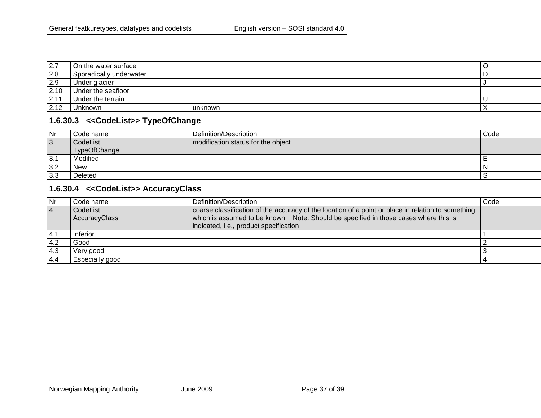| 2.7  | On the water surface    |         | ◡ |
|------|-------------------------|---------|---|
| 2.8  | Sporadically underwater |         |   |
| 2.9  | Under glacier           |         |   |
| 2.10 | Under the seafloor      |         |   |
| 2.11 | Under the terrain       |         |   |
| 2.12 | Unknown                 | unknown |   |

#### **1.6.30.3 <<CodeList>> TypeOfChange**

| Nr             | Code name    | Definition/Description             | Code |
|----------------|--------------|------------------------------------|------|
| $\overline{3}$ | CodeList     | modification status for the object |      |
|                | TypeOfChange |                                    |      |
| 3.1            | Modified     |                                    |      |
| 3.2            | <b>New</b>   |                                    |      |
| 3.3            | Deleted      |                                    |      |

# **1.6.30.4 <<CodeList>> AccuracyClass**

<span id="page-36-1"></span><span id="page-36-0"></span>

| Nr             | Code name                 | Definition/Description                                                                                                                                                                    | Code |
|----------------|---------------------------|-------------------------------------------------------------------------------------------------------------------------------------------------------------------------------------------|------|
| $\overline{4}$ | CodeList<br>AccuracyClass | coarse classification of the accuracy of the location of a point or place in relation to something<br>which is assumed to be known Note: Should be specified in those cases where this is |      |
|                |                           | indicated, i.e., product specification                                                                                                                                                    |      |
| 4.1            | Inferior                  |                                                                                                                                                                                           |      |
| 4.2            | Good                      |                                                                                                                                                                                           |      |
| 4.3            | Very good                 |                                                                                                                                                                                           |      |
| 4.4            | Especially good           |                                                                                                                                                                                           |      |